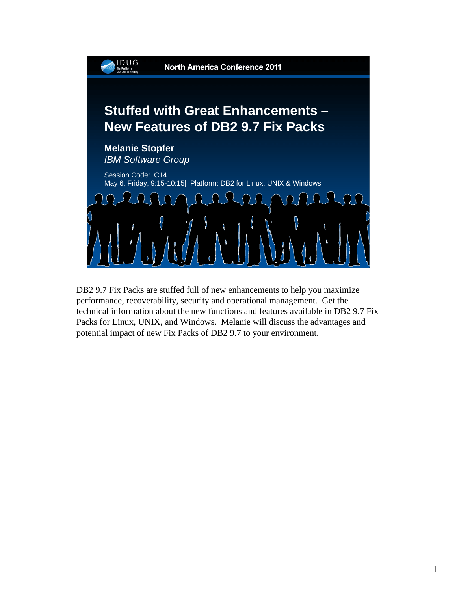

DB2 9.7 Fix Packs are stuffed full of new enhancements to help you maximize performance, recoverability, security and operational management. Get the technical information about the new functions and features available in DB2 9.7 Fix Packs for Linux, UNIX, and Windows. Melanie will discuss the advantages and potential impact of new Fix Packs of DB2 9.7 to your environment.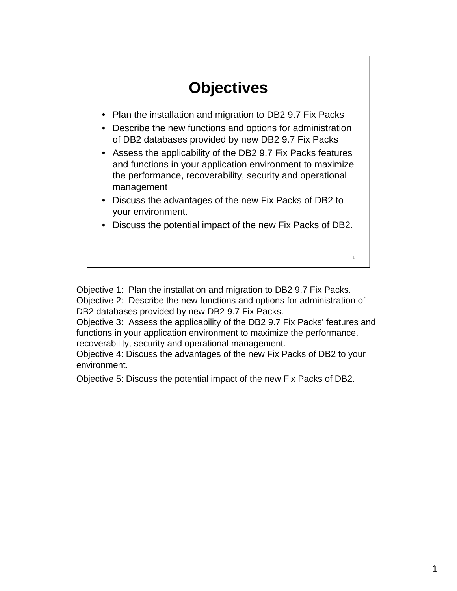# **Objectives**

- Plan the installation and migration to DB2 9.7 Fix Packs
- Describe the new functions and options for administration of DB2 databases provided by new DB2 9.7 Fix Packs
- Assess the applicability of the DB2 9.7 Fix Packs features and functions in your application environment to maximize the performance, recoverability, security and operational management
- Discuss the advantages of the new Fix Packs of DB2 to your environment.
- Discuss the potential impact of the new Fix Packs of DB2.

1

Objective 1: Plan the installation and migration to DB2 9.7 Fix Packs. Objective 2: Describe the new functions and options for administration of DB2 databases provided by new DB2 9.7 Fix Packs.

Objective 3: Assess the applicability of the DB2 9.7 Fix Packs' features and functions in your application environment to maximize the performance, recoverability, security and operational management.

Objective 4: Discuss the advantages of the new Fix Packs of DB2 to your environment.

Objective 5: Discuss the potential impact of the new Fix Packs of DB2.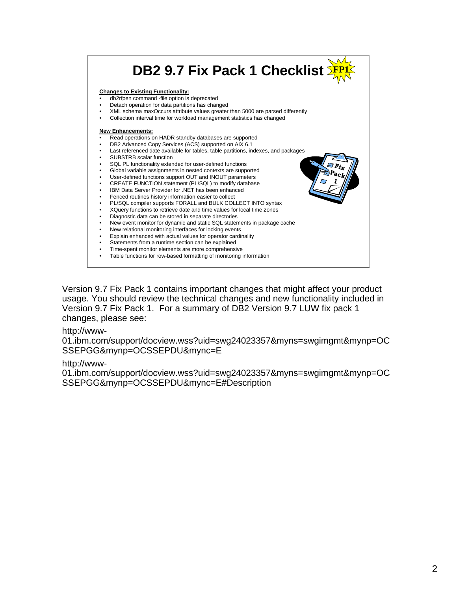|                                               | DB2 9.7 Fix Pack 1 Checklist 3                                                                                                                                                                                                                                                                                                                                                                                                                                                                                                                                                                                                                                                                                                                                                                                                                                                                                                                                                                                                                                                                                                                                                                                                                                                                                                                                                                                                                                                                                                         |
|-----------------------------------------------|----------------------------------------------------------------------------------------------------------------------------------------------------------------------------------------------------------------------------------------------------------------------------------------------------------------------------------------------------------------------------------------------------------------------------------------------------------------------------------------------------------------------------------------------------------------------------------------------------------------------------------------------------------------------------------------------------------------------------------------------------------------------------------------------------------------------------------------------------------------------------------------------------------------------------------------------------------------------------------------------------------------------------------------------------------------------------------------------------------------------------------------------------------------------------------------------------------------------------------------------------------------------------------------------------------------------------------------------------------------------------------------------------------------------------------------------------------------------------------------------------------------------------------------|
| $\bullet$<br>$\bullet$<br>٠<br>٠<br>$\bullet$ | <b>Changes to Existing Functionality:</b><br>db2rfpen command -file option is deprecated<br>Detach operation for data partitions has changed<br>XML schema maxOccurs attribute values greater than 5000 are parsed differently<br>Collection interval time for workload management statistics has changed<br><b>New Enhancements:</b><br>Read operations on HADR standby databases are supported<br>DB2 Advanced Copy Services (ACS) supported on AIX 6.1<br>Last referenced date available for tables, table partitions, indexes, and packages<br>SUBSTRB scalar function<br>SQL PL functionality extended for user-defined functions<br>Global variable assignments in nested contexts are supported<br>User-defined functions support OUT and INOUT parameters<br>CREATE FUNCTION statement (PL/SQL) to modify database<br>IBM Data Server Provider for .NET has been enhanced<br>Fenced routines history information easier to collect<br>PL/SQL compiler supports FORALL and BULK COLLECT INTO syntax<br>XQuery functions to retrieve date and time values for local time zones<br>Diagnostic data can be stored in separate directories<br>New event monitor for dynamic and static SQL statements in package cache<br>New relational monitoring interfaces for locking events<br>Explain enhanced with actual values for operator cardinality<br>Statements from a runtime section can be explained<br>Time-spent monitor elements are more comprehensive<br>Table functions for row-based formatting of monitoring information |

Version 9.7 Fix Pack 1 contains important changes that might affect your product usage. You should review the technical changes and new functionality included in Version 9.7 Fix Pack 1. For a summary of DB2 Version 9.7 LUW fix pack 1 changes, please see:

#### http://www-

01.ibm.com/support/docview.wss?uid=swg24023357&myns=swgimgmt&mynp=OC SSEPGG&mynp=OCSSEPDU&mync=E

#### http://www-

01.ibm.com/support/docview.wss?uid=swg24023357&myns=swgimgmt&mynp=OC SSEPGG&mynp=OCSSEPDU&mync=E#Description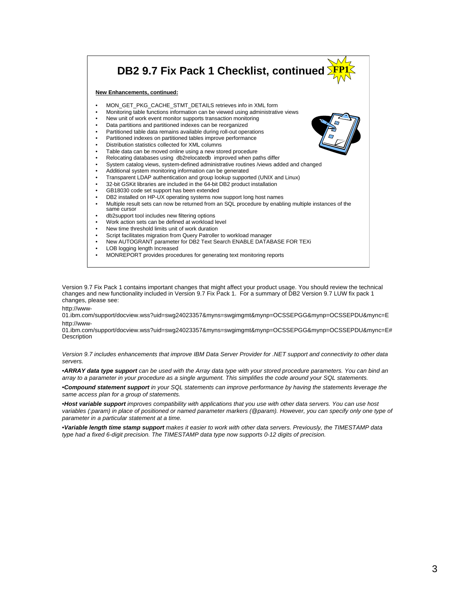

Version 9.7 Fix Pack 1 contains important changes that might affect your product usage. You should review the technical changes and new functionality included in Version 9.7 Fix Pack 1. For a summary of DB2 Version 9.7 LUW fix pack 1 changes, please see:

http://www-

01.ibm.com/support/docview.wss?uid=swg24023357&myns=swgimgmt&mynp=OCSSEPGG&mynp=OCSSEPDU&mync=E http://www-

01.ibm.com/support/docview.wss?uid=swg24023357&myns=swgimgmt&mynp=OCSSEPGG&mynp=OCSSEPDU&mync=E# **Description** 

*Version 9.7 includes enhancements that improve IBM Data Server Provider for .NET support and connectivity to other data servers.*

•*ARRAY data type support can be used with the Array data type with your stored procedure parameters. You can bind an array to a parameter in your procedure as a single argument. This simplifies the code around your SQL statements.*

•*Compound statement support in your SQL statements can improve performance by having the statements leverage the same access plan for a group of statements.*

•*Host variable support improves compatibility with applications that you use with other data servers. You can use host variables (:param) in place of positioned or named parameter markers (@param). However, you can specify only one type of parameter in a particular statement at a time.*

•*Variable length time stamp support makes it easier to work with other data servers. Previously, the TIMESTAMP data type had a fixed 6-digit precision. The TIMESTAMP data type now supports 0-12 digits of precision.*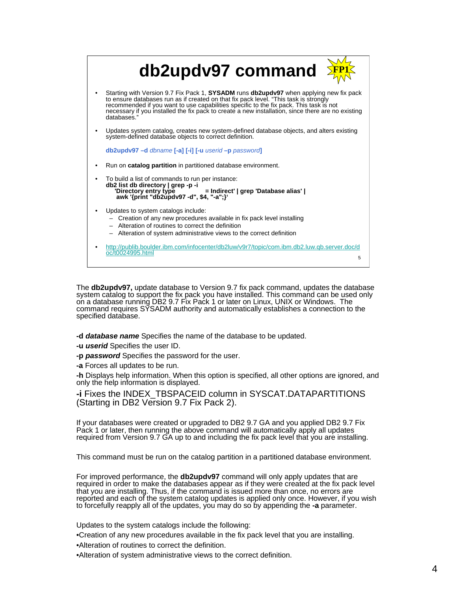| db2updv97 command                                                                                                                                                                                                                                                                                                                                                                            |   |
|----------------------------------------------------------------------------------------------------------------------------------------------------------------------------------------------------------------------------------------------------------------------------------------------------------------------------------------------------------------------------------------------|---|
| Starting with Version 9.7 Fix Pack 1, SYSADM runs db2updv97 when applying new fix pack<br>to ensure databases run as if created on that fix pack level. "This task is strongly<br>recommended if you want to use capabilities specific to the fix pack. This task is not<br>necessary if you installed the fix pack to create a new installation, since there are no existing<br>databases.' |   |
| Updates system catalog, creates new system-defined database objects, and alters existing<br>system-defined database objects to correct definition.                                                                                                                                                                                                                                           |   |
| db2updv97-d dbname [-a] [-i] [-u userid-p password]                                                                                                                                                                                                                                                                                                                                          |   |
| Run on <b>catalog partition</b> in partitioned database environment.                                                                                                                                                                                                                                                                                                                         |   |
| To build a list of commands to run per instance:<br>db2 list db directory   grep -p -i<br>'Directory entry type ' = Indirect'   grep 'Database alias'  <br>awk '{print "db2updv97 -d", \$4, "-a";}'                                                                                                                                                                                          |   |
| Updates to system catalogs include:<br>- Creation of any new procedures available in fix pack level installing<br>- Alteration of routines to correct the definition<br>- Alteration of system administrative views to the correct definition                                                                                                                                                |   |
| http://publib.boulder.ibm.com/infocenter/db2luw/v9r7/topic/com.ibm.db2.luw.qb.server.doc/d<br>oc/t0024995.html                                                                                                                                                                                                                                                                               | 5 |

The **db2updv97,** update database to Version 9.7 fix pack command, updates the database system catalog to support the fix pack you have installed. This command can be used only on a database running DB2 9.7 Fix Pack 1 or later on Linux, UNIX or Windows. The command requires SYSADM authority and automatically establishes a connection to the specified database.

**-d** *database name* Specifies the name of the database to be updated.

- **-u** *userid* Specifies the user ID.
- **-p** *password* Specifies the password for the user.

**-a** Forces all updates to be run.

**-h** Displays help information. When this option is specified, all other options are ignored, and only the help information is displayed.

**-i** Fixes the INDEX\_TBSPACEID column in SYSCAT.DATAPARTITIONS (Starting in DB2 Version 9.7 Fix Pack 2).

If your databases were created or upgraded to DB2 9.7 GA and you applied DB2 9.7 Fix Pack 1 or later, then running the above command will automatically apply all updates required from Version 9.7 GA up to and including the fix pack level that you are installing.

This command must be run on the catalog partition in a partitioned database environment.

For improved performance, the **db2updv97** command will only apply updates that are required in order to make the databases appear as if they were created at the fix pack level that you are installing. Thus, if the command is issued more than once, no errors are reported and each of the system catalog updates is applied only once. However, if you wish to forcefully reapply all of the updates, you may do so by appending the **-a** parameter.

Updates to the system catalogs include the following:

•Creation of any new procedures available in the fix pack level that you are installing.

•Alteration of routines to correct the definition.

•Alteration of system administrative views to the correct definition.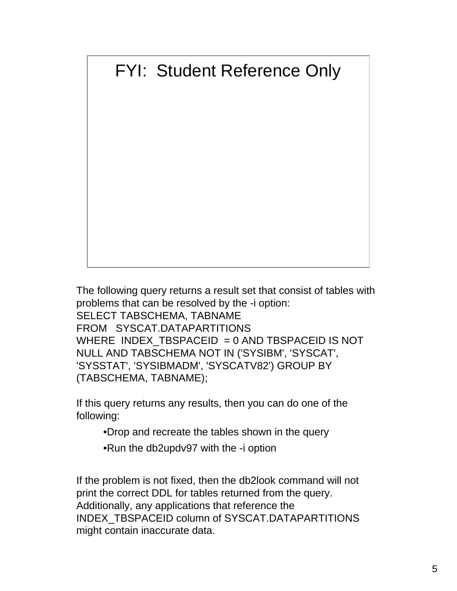# FYI: Student Reference Only

The following query returns a result set that consist of tables with problems that can be resolved by the -i option: SELECT TABSCHEMA, TABNAME FROM SYSCAT.DATAPARTITIONS WHERE INDEX TBSPACEID  $= 0$  AND TBSPACEID IS NOT NULL AND TABSCHEMA NOT IN ('SYSIBM', 'SYSCAT', 'SYSSTAT', 'SYSIBMADM', 'SYSCATV82') GROUP BY (TABSCHEMA, TABNAME);

If this query returns any results, then you can do one of the following:

•Drop and recreate the tables shown in the query

•Run the db2updv97 with the -i option

If the problem is not fixed, then the db2look command will not print the correct DDL for tables returned from the query. Additionally, any applications that reference the INDEX\_TBSPACEID column of SYSCAT.DATAPARTITIONS might contain inaccurate data.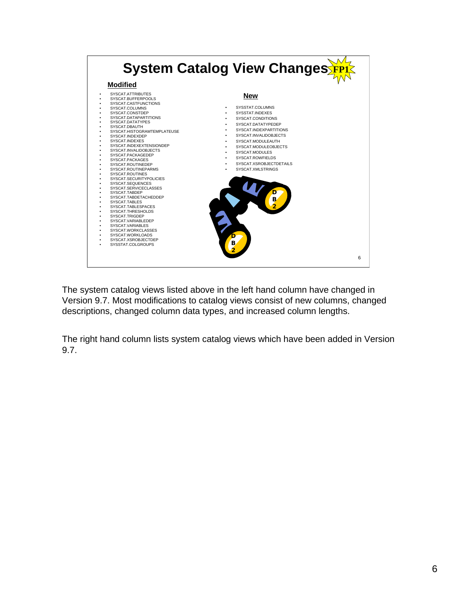

The system catalog views listed above in the left hand column have changed in Version 9.7. Most modifications to catalog views consist of new columns, changed descriptions, changed column data types, and increased column lengths.

The right hand column lists system catalog views which have been added in Version 9.7.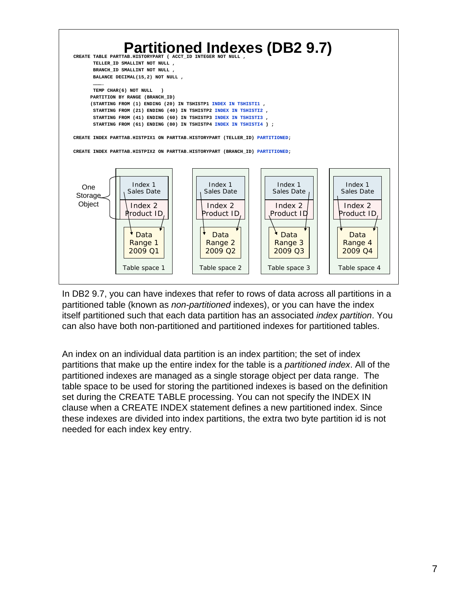

In DB2 9.7, you can have indexes that refer to rows of data across all partitions in a partitioned table (known as *non-partitioned* indexes), or you can have the index itself partitioned such that each data partition has an associated *index partition*. You can also have both non-partitioned and partitioned indexes for partitioned tables.

An index on an individual data partition is an index partition; the set of index partitions that make up the entire index for the table is a *partitioned index*. All of the partitioned indexes are managed as a single storage object per data range. The table space to be used for storing the partitioned indexes is based on the definition set during the CREATE TABLE processing. You can not specify the INDEX IN clause when a CREATE INDEX statement defines a new partitioned index. Since these indexes are divided into index partitions, the extra two byte partition id is not needed for each index key entry.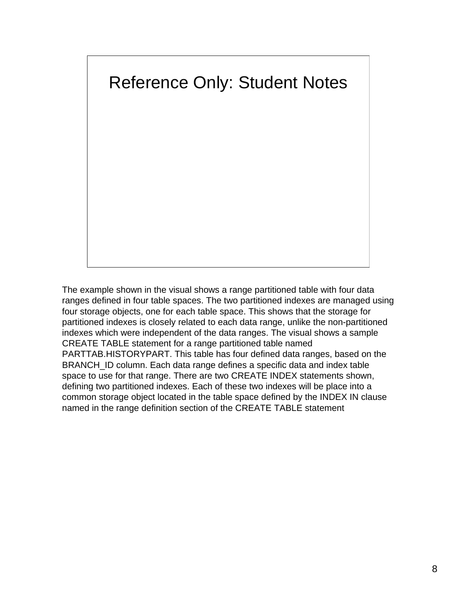

The example shown in the visual shows a range partitioned table with four data ranges defined in four table spaces. The two partitioned indexes are managed using four storage objects, one for each table space. This shows that the storage for partitioned indexes is closely related to each data range, unlike the non-partitioned indexes which were independent of the data ranges. The visual shows a sample CREATE TABLE statement for a range partitioned table named PARTTAB.HISTORYPART. This table has four defined data ranges, based on the BRANCH\_ID column. Each data range defines a specific data and index table space to use for that range. There are two CREATE INDEX statements shown, defining two partitioned indexes. Each of these two indexes will be place into a common storage object located in the table space defined by the INDEX IN clause named in the range definition section of the CREATE TABLE statement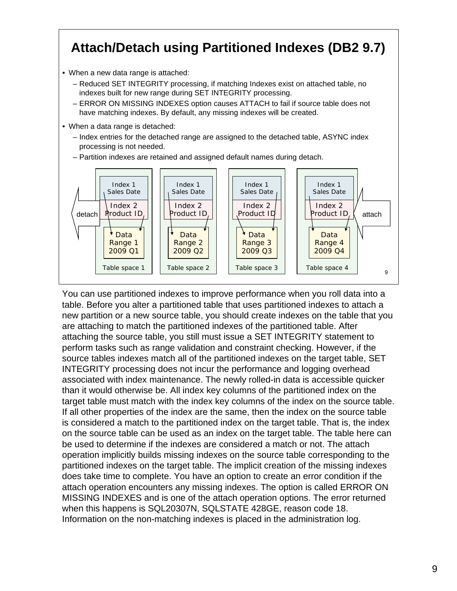## **Attach/Detach using Partitioned Indexes (DB2 9.7)**

- When a new data range is attached:
	- Reduced SET INTEGRITY processing, if matching Indexes exist on attached table, no indexes built for new range during SET INTEGRITY processing.
	- ERROR ON MISSING INDEXES option causes ATTACH to fail if source table does not have matching indexes. By default, any missing indexes will be created.
- When a data range is detached:
	- Index entries for the detached range are assigned to the detached table, ASYNC index processing is not needed.
	- Partition indexes are retained and assigned default names during detach.



You can use partitioned indexes to improve performance when you roll data into a table. Before you alter a partitioned table that uses partitioned indexes to attach a new partition or a new source table, you should create indexes on the table that you are attaching to match the partitioned indexes of the partitioned table. After attaching the source table, you still must issue a SET INTEGRITY statement to perform tasks such as range validation and constraint checking. However, if the source tables indexes match all of the partitioned indexes on the target table, SET INTEGRITY processing does not incur the performance and logging overhead associated with index maintenance. The newly rolled-in data is accessible quicker than it would otherwise be. All index key columns of the partitioned index on the target table must match with the index key columns of the index on the source table. If all other properties of the index are the same, then the index on the source table is considered a match to the partitioned index on the target table. That is, the index on the source table can be used as an index on the target table. The table here can be used to determine if the indexes are considered a match or not. The attach operation implicitly builds missing indexes on the source table corresponding to the partitioned indexes on the target table. The implicit creation of the missing indexes does take time to complete. You have an option to create an error condition if the attach operation encounters any missing indexes. The option is called ERROR ON MISSING INDEXES and is one of the attach operation options. The error returned when this happens is SQL20307N, SQLSTATE 428GE, reason code 18. Information on the non-matching indexes is placed in the administration log.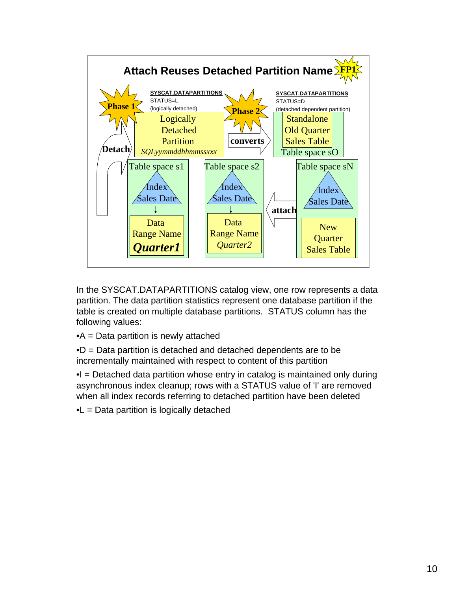

In the SYSCAT.DATAPARTITIONS catalog view, one row represents a data partition. The data partition statistics represent one database partition if the table is created on multiple database partitions. STATUS column has the following values:

•A = Data partition is newly attached

•D = Data partition is detached and detached dependents are to be incrementally maintained with respect to content of this partition

 $\bullet$ I = Detached data partition whose entry in catalog is maintained only during asynchronous index cleanup; rows with a STATUS value of 'I' are removed when all index records referring to detached partition have been deleted

 $\bullet L$  = Data partition is logically detached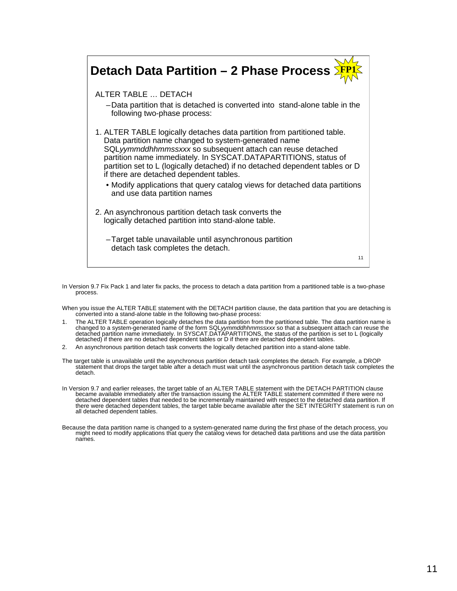### **Detach Data Partition – 2 Phase Process** ALTER TABLE … DETACH –Data partition that is detached is converted into stand-alone table in the following two-phase process: 1. ALTER TABLE logically detaches data partition from partitioned table. Data partition name changed to system-generated name SQL*yymmddhhmmssxxx* so subsequent attach can reuse detached partition name immediately. In SYSCAT.DATAPARTITIONS, status of partition set to L (logically detached) if no detached dependent tables or D if there are detached dependent tables. • Modify applications that query catalog views for detached data partitions and use data partition names 2. An asynchronous partition detach task converts the logically detached partition into stand-alone table. –Target table unavailable until asynchronous partition detach task completes the detach. **FP1** 11

In Version 9.7 Fix Pack 1 and later fix packs, the process to detach a data partition from a partitioned table is a two-phase process.

When you issue the ALTER TABLE statement with the DETACH partition clause, the data partition that you are detaching is converted into a stand-alone table in the following two-phase process:

- 1. The ALTER TABLE operation logically detaches the data partition from the partitioned table. The data partition name is changed to a system-generated name of the form SQL*yymmddhhmm*ssxxx so that a subsequent attach can reuse the<br>detached partition name immediately. In SYSCAT.DATAPARTITIONS, the status of the partition is set to L (logicall
- 2. An asynchronous partition detach task converts the logically detached partition into a stand-alone table.
- The target table is unavailable until the asynchronous partition detach task completes the detach. For example, a DROP<br>statement that drops the target table after a detach must wait until the asynchronous partition detach detach.
- In Version 9.7 and earlier releases, the target table of an ALTER TABLE statement with the DETACH PARTITION clause<br>became available immediately after the transaction issuing the ALTER TABLE statement committed if there wer there were detached dependent tables, the target table became available after the SET INTEGRITY statement is run on all detached dependent tables.
- Because the data partition name is changed to a system-generated name during the first phase of the detach process, you<br>might need to modify applications that query the catalog views for detached data partitions and use th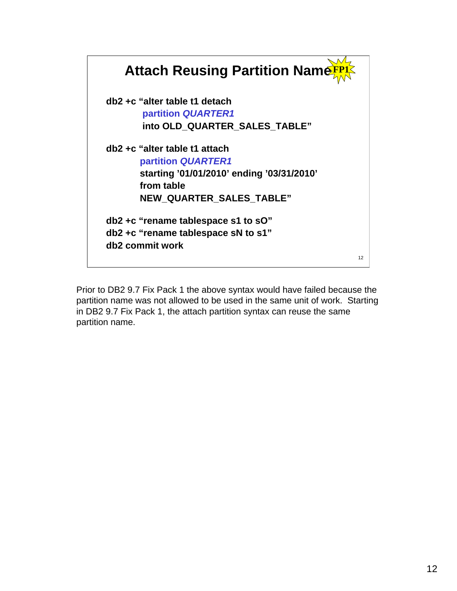

Prior to DB2 9.7 Fix Pack 1 the above syntax would have failed because the partition name was not allowed to be used in the same unit of work. Starting in DB2 9.7 Fix Pack 1, the attach partition syntax can reuse the same partition name.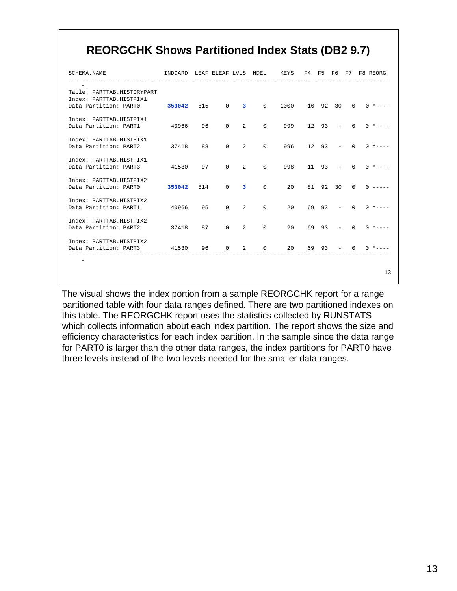### **REORGCHK Shows Partitioned Index Stats (DB2 9.7)**

| SCHEMA NAME                                                                    |                |    |                                     |                                   |           |               |  | INDCARD LEAF ELEAF LVLS NDEL KEYS F4 F5 F6 F7 F8 REORG |
|--------------------------------------------------------------------------------|----------------|----|-------------------------------------|-----------------------------------|-----------|---------------|--|--------------------------------------------------------|
| Table: PARTTAB.HISTORYPART<br>Index: PARTTAB.HISTPIX1<br>Data Partition: PARTO | 353042 815 0 3 |    |                                     | $\Omega$                          |           |               |  | $1000$ 10 92 30 0 0 *----                              |
| Index: PARTTAB.HISTPIX1<br>Data Partition: PART1                               | 40966 96       |    |                                     |                                   |           |               |  |                                                        |
| Index: PARTTAB.HISTPIX1<br>Data Partition: PART2 37418                         |                | 88 | $\Omega$<br>2                       |                                   | $\Omega$  |               |  | $996$ 12 93 - 0 0 *----                                |
| Index: PARTTAB.HISTPIX1<br>Data Partition: PART3                               | 41530 97       |    | $\Omega$<br>$\overline{2}$          |                                   | $\Omega$  |               |  | $998$ 11 93 - 0 0 *----                                |
| Index: PARTTAB.HISTPIX2<br>Data Partition: PARTO 353042 814                    |                |    | $\begin{matrix} 0 & 3 \end{matrix}$ |                                   | $\Omega$  |               |  | $20 \t 81 \t 92 \t 30 \t 0 \t 0 \t ---$                |
| Index: PARTTAB.HISTPIX2<br>Data Partition: PART1                               | 40966 95       |    | $\Omega$<br>2                       | $\Omega$                          | 20        |               |  | $69 \t93 - 0 \t0 \t---$                                |
| Index: PARTTAB.HISTPIX2<br>Data Partition: PART2                               | 37418 87       |    |                                     | $0 \quad 2 \quad 0$               |           |               |  | $20 \t 69 \t 93 - 0 \t 0 \t \t---$                     |
| Index: PARTTAB.HISTPIX2<br>Data Partition: PART3 41530 96                      |                |    | $\Omega$                            | $\overline{2}$ and $\overline{2}$ | $0 \t 20$ | $69 \t93 - 0$ |  | $0 * - - -$                                            |
|                                                                                |                |    |                                     |                                   |           |               |  | 13                                                     |

The visual shows the index portion from a sample REORGCHK report for a range partitioned table with four data ranges defined. There are two partitioned indexes on this table. The REORGCHK report uses the statistics collected by RUNSTATS which collects information about each index partition. The report shows the size and efficiency characteristics for each index partition. In the sample since the data range for PART0 is larger than the other data ranges, the index partitions for PART0 have three levels instead of the two levels needed for the smaller data ranges.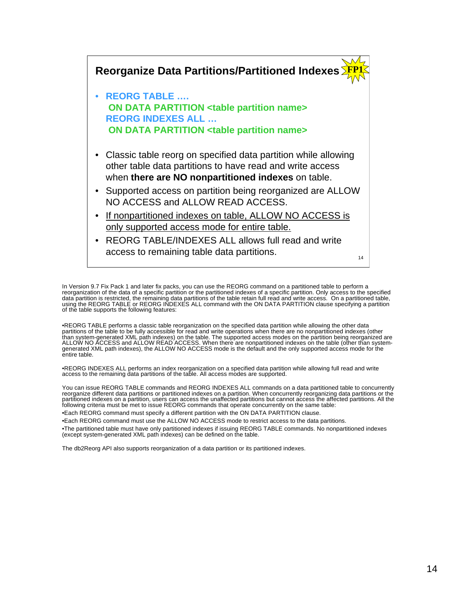

In Version 9.7 Fix Pack 1 and later fix packs, you can use the REORG command on a partitioned table to perform a<br>reorganization of the data of a specific partition or the partitioned indexes of a specific partition. Only a

•REORG TABLE performs a classic table reorganization on the specified data partition while allowing the other data<br>partitions of the table to be fully accessible for read and write operations when there are no nonpartition entire table.

•REORG INDEXES ALL performs an index reorganization on a specified data partition while allowing full read and write access to the remaining data partitions of the table. All access modes are supported.

You can issue REORG TABLE commands and REORG INDEXES ALL commands on a data partitioned table to concurrently<br>reorganize different data partitions or partitioned indexes on a partition. When concurrently reorganizing data following criteria must be met to issue REORG commands that operate concurrently on the same table:

•Each REORG command must specify a different partition with the ON DATA PARTITION clause.

•Each REORG command must use the ALLOW NO ACCESS mode to restrict access to the data partitions.

•The partitioned table must have only partitioned indexes if issuing REORG TABLE commands. No nonpartitioned indexes (except system-generated XML path indexes) can be defined on the table.

The db2Reorg API also supports reorganization of a data partition or its partitioned indexes.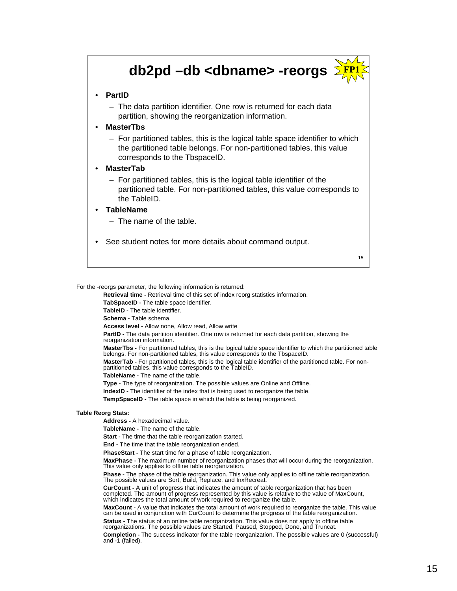## **db2pd –db <dbname> -reorgs**



#### • **PartID**

– The data partition identifier. One row is returned for each data partition, showing the reorganization information.

• **MasterTbs** 

– For partitioned tables, this is the logical table space identifier to which the partitioned table belongs. For non-partitioned tables, this value corresponds to the TbspaceID.

#### • **MasterTab**

– For partitioned tables, this is the logical table identifier of the partitioned table. For non-partitioned tables, this value corresponds to the TableID.

#### • **TableName**

- The name of the table.
- See student notes for more details about command output.

15

#### For the -reorgs parameter, the following information is returned:

**Retrieval time -** Retrieval time of this set of index reorg statistics information.

**TabSpaceID -** The table space identifier.

**TableID -** The table identifier.

**Schema -** Table schema.

**Access level -** Allow none, Allow read, Allow write

**PartID -** The data partition identifier. One row is returned for each data partition, showing the reorganization information.

**MasterTbs -** For partitioned tables, this is the logical table space identifier to which the partitioned table belongs. For non-partitioned tables, this value corresponds to the TbspaceID.

**MasterTab -** For partitioned tables, this is the logical table identifier of the partitioned table. For nonpartitioned tables, this value corresponds to the TableID.

**TableName -** The name of the table.

**Type -** The type of reorganization. The possible values are Online and Offline. **IndexID -** The identifier of the index that is being used to reorganize the table.

**TempSpaceID -** The table space in which the table is being reorganized.

#### **Table Reorg Stats:**

**Address -** A hexadecimal value.

**TableName -** The name of the table.

**Start -** The time that the table reorganization started.

**End -** The time that the table reorganization ended.

**PhaseStart -** The start time for a phase of table reorganization.

**MaxPhase -** The maximum number of reorganization phases that will occur during the reorganization. This value only applies to offline table reorganization.

**Phase -** The phase of the table reorganization. This value only applies to offline table reorganization. The possible values are Sort, Build, Replace, and InxRecreat.

**CurCount -** A unit of progress that indicates the amount of table reorganization that has been completed. The amount of progress represented by this value is relative to the value of MaxCount, which indicates the total amount of work required to reorganize the table.

**MaxCount -** A value that indicates the total amount of work required to reorganize the table. This value can be used in conjunction with CurCount to determine the progress of the table reorganization. **Status -** The status of an online table reorganization. This value does not apply to offline table reorganizations. The possible values are Started, Paused, Stopped, Done, and Truncat.

**Completion -** The success indicator for the table reorganization. The possible values are 0 (successful) and -1 (failed).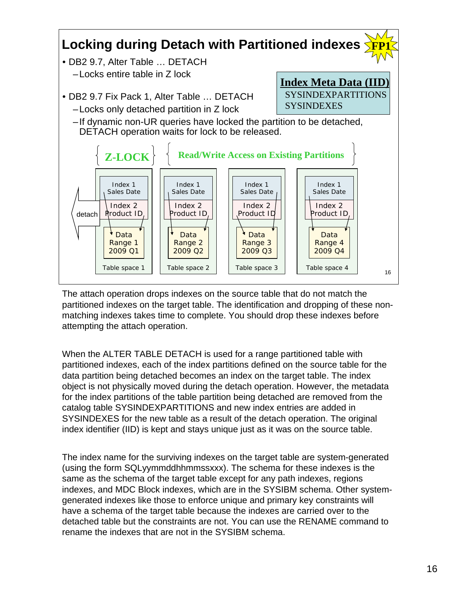#### **Locking during Detach with Partitioned indexes FP1**

- DB2 9.7, Alter Table … DETACH –Locks entire table in Z lock
- DB2 9.7 Fix Pack 1, Alter Table … DETACH
	- –Locks only detached partition in Z lock
	- –If dynamic non-UR queries have locked the partition to be detached, DETACH operation waits for lock to be released.

**Index Meta Data (IID)** SYSINDEXPARTITIONS

**SYSINDEXES** 



The attach operation drops indexes on the source table that do not match the partitioned indexes on the target table. The identification and dropping of these nonmatching indexes takes time to complete. You should drop these indexes before attempting the attach operation.

When the ALTER TABLE DETACH is used for a range partitioned table with partitioned indexes, each of the index partitions defined on the source table for the data partition being detached becomes an index on the target table. The index object is not physically moved during the detach operation. However, the metadata for the index partitions of the table partition being detached are removed from the catalog table SYSINDEXPARTITIONS and new index entries are added in SYSINDEXES for the new table as a result of the detach operation. The original index identifier (IID) is kept and stays unique just as it was on the source table.

The index name for the surviving indexes on the target table are system-generated (using the form SQLyymmddhhmmssxxx). The schema for these indexes is the same as the schema of the target table except for any path indexes, regions indexes, and MDC Block indexes, which are in the SYSIBM schema. Other systemgenerated indexes like those to enforce unique and primary key constraints will have a schema of the target table because the indexes are carried over to the detached table but the constraints are not. You can use the RENAME command to rename the indexes that are not in the SYSIBM schema.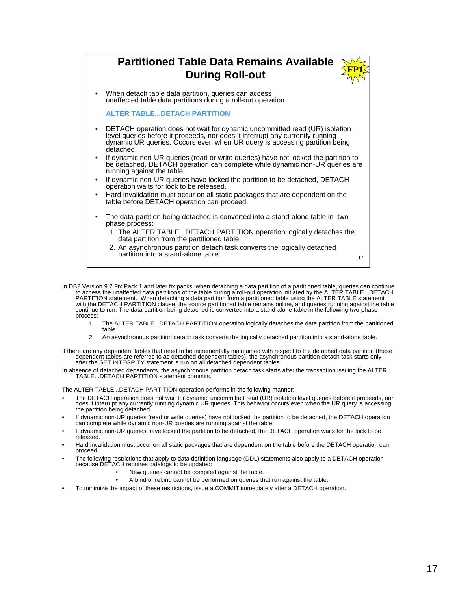

In DB2 Version 9.7 Fix Pack 1 and later fix packs, when detaching a data partition of a partitioned table, queries can continue to access the unaffected data partitions of the table during a roll-out operation initiated by process:

- 1. The ALTER TABLE...DETACH PARTITION operation logically detaches the data partition from the partitioned table.
- 2. An asynchronous partition detach task converts the logically detached partition into a stand-alone table.

If there are any dependent tables that need to be incrementally maintained with respect to the detached data partition (these dependent tables are referred to as detached dependent tables), the asynchronous partition detach task starts only after the SET INTEGRITY statement is run on all detached dependent tables.

In absence of detached dependents, the asynchronous partition detach task starts after the transaction issuing the ALTER TABLE...DETACH PARTITION statement commits.

The ALTER TABLE...DETACH PARTITION operation performs in the following manner:

- The DETACH operation does not wait for dynamic uncommitted read (UR) isolation level queries before it proceeds, nor does it interrupt any currently running dynamic UR queries. This behavior occurs even when the UR query is accessing the partition being detached.
- If dynamic non-UR queries (read or write queries) have not locked the partition to be detached, the DETACH operation can complete while dynamic non-UR queries are running against the table.
- If dynamic non-UR queries have locked the partition to be detached, the DETACH operation waits for the lock to be released.
- Hard invalidation must occur on all static packages that are dependent on the table before the DETACH operation can proceed.
- The following restrictions that apply to data definition language (DDL) statements also apply to a DETACH operation because DETACH requires catalogs to be updated:
	- New queries cannot be compiled against the table.
	- A bind or rebind cannot be performed on queries that run against the table.
- To minimize the impact of these restrictions, issue a COMMIT immediately after a DETACH operation.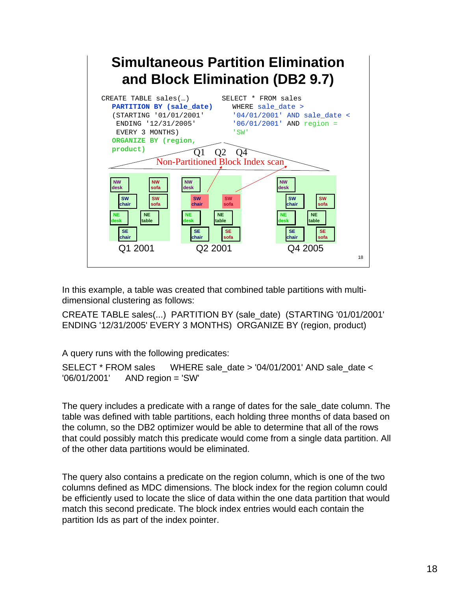

In this example, a table was created that combined table partitions with multidimensional clustering as follows:

CREATE TABLE sales(...) PARTITION BY (sale\_date) (STARTING '01/01/2001' ENDING '12/31/2005' EVERY 3 MONTHS) ORGANIZE BY (region, product)

A query runs with the following predicates:

SELECT \* FROM sales WHERE sale date > '04/01/2001' AND sale date < '06/01/2001' AND region = 'SW'

The query includes a predicate with a range of dates for the sale\_date column. The table was defined with table partitions, each holding three months of data based on the column, so the DB2 optimizer would be able to determine that all of the rows that could possibly match this predicate would come from a single data partition. All of the other data partitions would be eliminated.

The query also contains a predicate on the region column, which is one of the two columns defined as MDC dimensions. The block index for the region column could be efficiently used to locate the slice of data within the one data partition that would match this second predicate. The block index entries would each contain the partition Ids as part of the index pointer.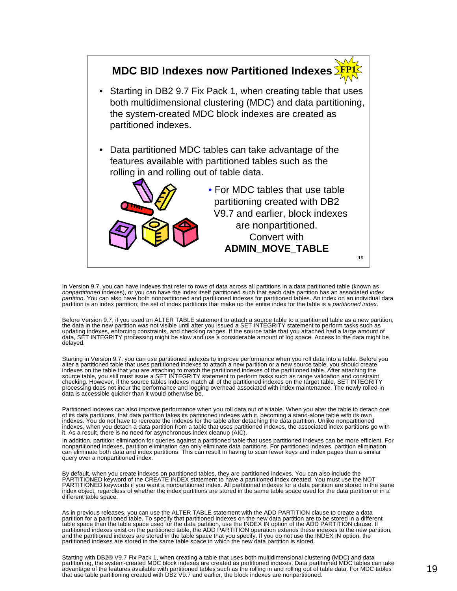

In Version 9.7, you can have indexes that refer to rows of data across all partitions in a data partitioned table (known as<br>*nonpartitioned* indexes), or you can have the index itself partitioned such that each data partit *partition*. You can also have both nonpartitioned and partitioned indexes for partitioned tables. An index on an individual data<br>partition is an index partition; the set of index partitions that make up the entire index f

Before Version 9.7, if you used an ALTER TABLE statement to attach a source table to a partitioned table as a new partition,<br>the data in the new partition was not visible until after you issued a SET INTEGRITY statement to delayed.

Starting in Version 9.7, you can use partitioned indexes to improve performance when you roll data into a table. Before you<br>alter a partitioned table that uses partitioned indexes to attach a new partition or a new source indexes on the table that you are attaching to match the partitioned indexes of the partitioned table. After attaching the<br>source table, you still must issue a SET INTEGRITY statement to perform tasks such as range validat checking. However, if the source tables indexes match all of the partitioned indexes on the target table, SET INTEGRITY processing does not incur the performance and logging overhead associated with index maintenance. The newly rolled-in data is accessible quicker than it would otherwise be.

Partitioned indexes can also improve performance when you roll data out of a table. When you alter the table to detach one of its data partitions, that data partition takes its partitioned indexes with it, becoming a stand-alone table with its own<br>indexes. You do not have to recreate the indexes for the table after detaching the data partition indexes, when you detach a data partition from a table that uses partitioned indexes, the associated index partitions go with it. As a result, there is no need for asynchronous index cleanup (AIC).

In addition, partition elimination for queries against a partitioned table that uses partitioned indexes can be more efficient. For nonpartitioned indexes, partition elimination can only eliminate data partitions. For partitioned indexes, partition elimination<br>can eliminate both data and index partitions. This can result in having to scan fewer keys an query over a nonpartitioned index.

By default, when you create indexes on partitioned tables, they are partitioned indexes. You can also include the PARTITIONED keyword of the CREATE INDEX statement to have a partitioned index created. You must use the NOT PARTITIONED keywords if you want a nonpartitioned index. All partitioned indexes for a data partition are stored in the same<br>index object, regardless of whether the index partitions are stored in the same table space used different table space.

As in previous releases, you can use the ALTER TABLE statement with the ADD PARTITION clause to create a data<br>partition for a partitioned table. To specify that partitioned indexes on the new data partition are to be store

Starting with DB2® V9.7 Fix Pack 1, when creating a table that uses both multidimensional clustering (MDC) and data<br>partitioning, the system-created MDC block indexes are created as partitioned indexes. Data partitioned MD advantage of the features available with partitioned tables such as the rolling in and rolling out of table data. For MDC tables that use table partitioning created with DB2 V9.7 and earlier, the block indexes are nonpartitioned.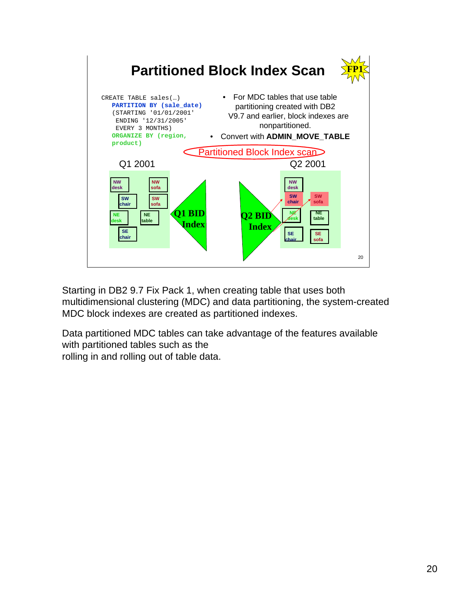

Starting in DB2 9.7 Fix Pack 1, when creating table that uses both multidimensional clustering (MDC) and data partitioning, the system-created MDC block indexes are created as partitioned indexes.

Data partitioned MDC tables can take advantage of the features available with partitioned tables such as the rolling in and rolling out of table data.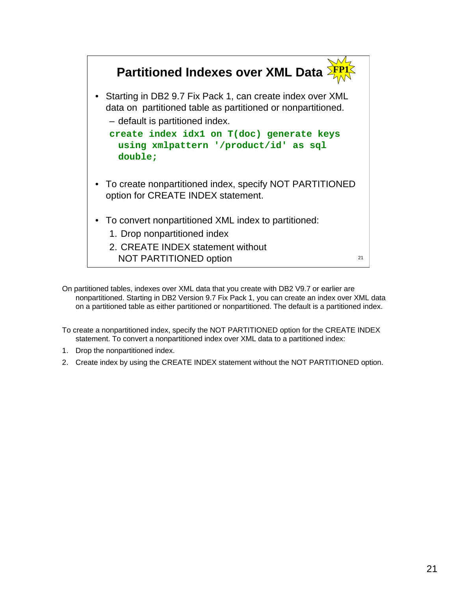

On partitioned tables, indexes over XML data that you create with DB2 V9.7 or earlier are nonpartitioned. Starting in DB2 Version 9.7 Fix Pack 1, you can create an index over XML data on a partitioned table as either partitioned or nonpartitioned. The default is a partitioned index.

To create a nonpartitioned index, specify the NOT PARTITIONED option for the CREATE INDEX statement. To convert a nonpartitioned index over XML data to a partitioned index:

- 1. Drop the nonpartitioned index.
- 2. Create index by using the CREATE INDEX statement without the NOT PARTITIONED option.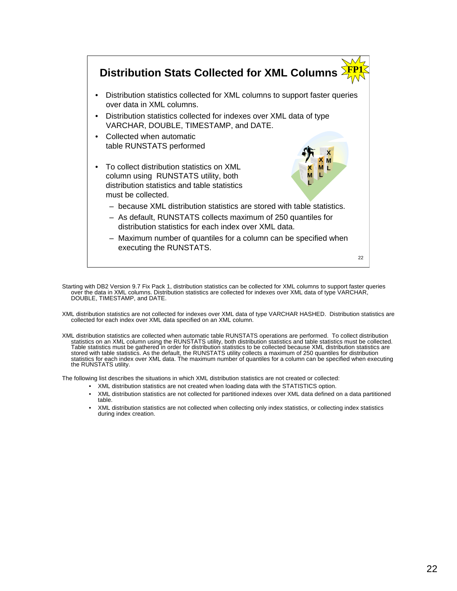

Starting with DB2 Version 9.7 Fix Pack 1, distribution statistics can be collected for XML columns to support faster queries over the data in XML columns. Distribution statistics are collected for indexes over XML data of

XML distribution statistics are not collected for indexes over XML data of type VARCHAR HASHED. Distribution statistics are collected for each index over XML data specified on an XML column.

XML distribution statistics are collected when automatic table RUNSTATS operations are performed. To collect distribution<br>Statistics on an XML column using the RUNSTATS utility, both distribution statistics and table stati stored with table statistics. As the default, the RUNSTATS utility collects a maximum of 250 quantiles for distribution<br>statistics for each index over XML data. The maximum number of quantiles for a column can be specified the RUNSTATS utility.

The following list describes the situations in which XML distribution statistics are not created or collected:

- XML distribution statistics are not created when loading data with the STATISTICS option.
- XML distribution statistics are not collected for partitioned indexes over XML data defined on a data partitioned table.
- XML distribution statistics are not collected when collecting only index statistics, or collecting index statistics during index creation.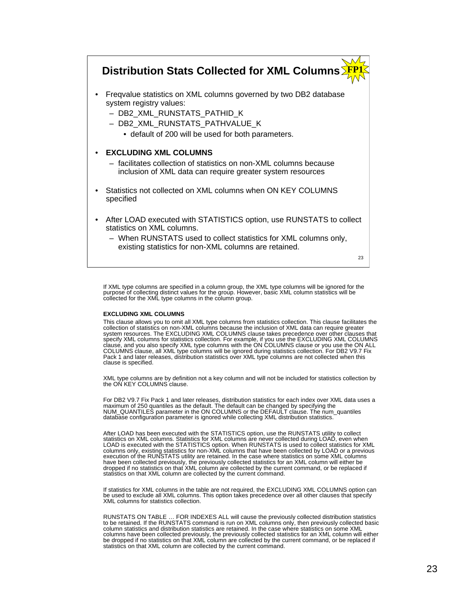#### **Distribution Stats Collected for XML Columns FP1**

- Freqvalue statistics on XML columns governed by two DB2 database system registry values:
	- DB2\_XML\_RUNSTATS\_PATHID\_K
	- DB2\_XML\_RUNSTATS\_PATHVALUE\_K
		- default of 200 will be used for both parameters.

#### • **EXCLUDING XML COLUMNS**

- facilitates collection of statistics on non-XML columns because inclusion of XML data can require greater system resources
- Statistics not collected on XML columns when ON KEY COLUMNS specified
- After LOAD executed with STATISTICS option, use RUNSTATS to collect statistics on XML columns.
	- When RUNSTATS used to collect statistics for XML columns only, existing statistics for non-XML columns are retained.

 $23$ 

If XML type columns are specified in a column group, the XML type columns will be ignored for the<br>purpose of collecting distinct values for the group. However, basic XML column statistics will be<br>collected for the XML type

#### **EXCLUDING XML COLUMNS**

This clause allows you to omit all XML type columns from statistics collection. This clause facilitates the collection of statistics on non-XML columns because the inclusion of XML data can require greater<br>system resources. The EXCLUDING XML COLUMNS clause takes precedence over other clauses that<br>specify XML columns for statisti clause is specified.

XML type columns are by definition not a key column and will not be included for statistics collection by the ON KEY COLUMNS clause.

For DB2 V9.7 Fix Pack 1 and later releases, distribution statistics for each index over XML data uses a<br>maximum of 250 quantiles as the default. The default can be changed by specifying the<br>NUM\_QUANTILES parameter in the O database configuration parameter is ignored while collecting XML distribution statistics.

After LOAD has been executed with the STATISTICS option, use the RUNSTATS utility to collect statistics on XML columns. Statistics for XML columns are never collected during LOAD, even when LOAD is executed with the STATISTICS option. When RUNSTATS is used to collect statistics for XML<br>columns only, existing statistics for non-XML columns that have been collected by LOAD or a previous<br>execution of the RUNSTAT have been collected previously, the previously collected statistics for an XML column will either be<br>dropped if no statistics on that XML column are collected by the current command, or be replaced if<br>statistics on that XM

If statistics for XML columns in the table are not required, the EXCLUDING XML COLUMNS option can be used to exclude all XML columns. This option takes precedence over all other clauses that specify XML columns for statistics collection.

RUNSTATS ON TABLE ... FOR INDEXES ALL will cause the previously collected distribution statistics<br>to be retained. If the RUNSTATS command is run on XML columns only, then previously collected basic<br>column statistics and di columns have been collected previously, the previously collected statistics for an XML column will either be dropped if no statistics on that XML column are collected by the current command, or be replaced if statistics on that XML column are collected by the current command.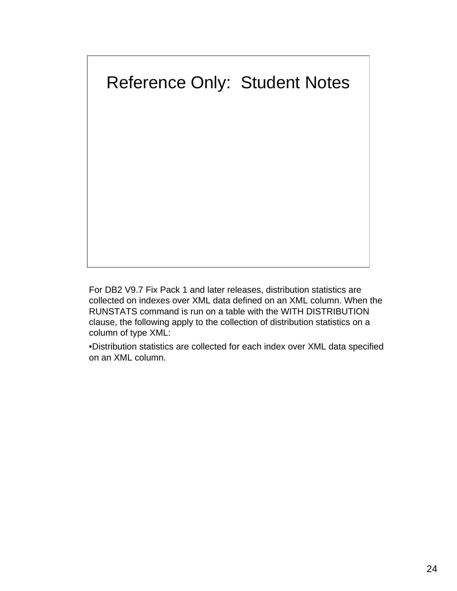

For DB2 V9.7 Fix Pack 1 and later releases, distribution statistics are collected on indexes over XML data defined on an XML column. When the RUNSTATS command is run on a table with the WITH DISTRIBUTION clause, the following apply to the collection of distribution statistics on a column of type XML:

•Distribution statistics are collected for each index over XML data specified on an XML column.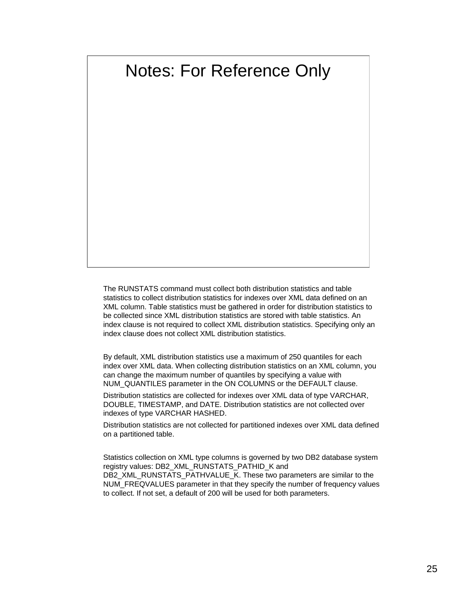# Notes: For Reference Only

The RUNSTATS command must collect both distribution statistics and table statistics to collect distribution statistics for indexes over XML data defined on an XML column. Table statistics must be gathered in order for distribution statistics to be collected since XML distribution statistics are stored with table statistics. An index clause is not required to collect XML distribution statistics. Specifying only an index clause does not collect XML distribution statistics.

By default, XML distribution statistics use a maximum of 250 quantiles for each index over XML data. When collecting distribution statistics on an XML column, you can change the maximum number of quantiles by specifying a value with NUM\_QUANTILES parameter in the ON COLUMNS or the DEFAULT clause.

Distribution statistics are collected for indexes over XML data of type VARCHAR, DOUBLE, TIMESTAMP, and DATE. Distribution statistics are not collected over indexes of type VARCHAR HASHED.

Distribution statistics are not collected for partitioned indexes over XML data defined on a partitioned table.

Statistics collection on XML type columns is governed by two DB2 database system registry values: DB2\_XML\_RUNSTATS\_PATHID\_K and DB2\_XML\_RUNSTATS\_PATHVALUE\_K. These two parameters are similar to the NUM\_FREQVALUES parameter in that they specify the number of frequency values to collect. If not set, a default of 200 will be used for both parameters.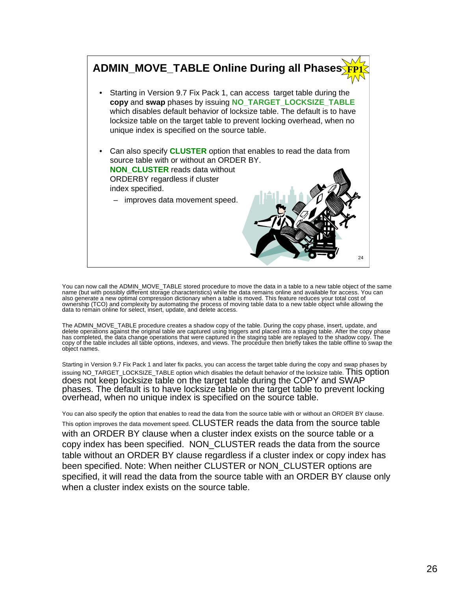

You can now call the ADMIN\_MOVE\_TABLE stored procedure to move the data in a table to a new table object of the same<br>name (but with possibly different storage characteristics) while the data remains online and available fo also generate a new optimal compression dictionary when a table is moved. This feature reduces your total cost of ownership (TCO) and complexity by automating the process of moving table data to a new table object while allowing the data to remain online for select, insert, update, and delete access.

The ADMIN\_MOVE\_TABLE procedure creates a shadow copy of the table. During the copy phase, insert, update, and<br>delete operations against the original table are captured using triggers and placed into a staging table. After copy of the table includes all tăble options, indexes, and views. The procedure then briefly takes the table offline to swap the<br>object names.

Starting in Version 9.7 Fix Pack 1 and later fix packs, you can access the target table during the copy and swap phases by issuing NO\_TARGET\_LOCKSIZE\_TABLE option which disables the default behavior of the locksize table. This Option does not keep locksize table on the target table during the COPY and SWAP phases. The default is to have locksize table on the target table to prevent locking overhead, when no unique index is specified on the source table.

You can also specify the option that enables to read the data from the source table with or without an ORDER BY clause. This option improves the data movement speed. CLUSTER reads the data from the source table with an ORDER BY clause when a cluster index exists on the source table or a copy index has been specified. NON\_CLUSTER reads the data from the source table without an ORDER BY clause regardless if a cluster index or copy index has been specified. Note: When neither CLUSTER or NON\_CLUSTER options are specified, it will read the data from the source table with an ORDER BY clause only when a cluster index exists on the source table.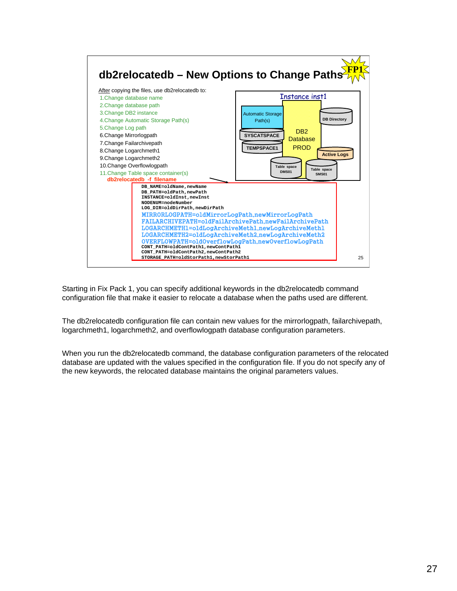

Starting in Fix Pack 1, you can specify additional keywords in the db2relocatedb command configuration file that make it easier to relocate a database when the paths used are different.

The db2relocatedb configuration file can contain new values for the mirrorlogpath, failarchivepath, logarchmeth1, logarchmeth2, and overflowlogpath database configuration parameters.

When you run the db2relocatedb command, the database configuration parameters of the relocated database are updated with the values specified in the configuration file. If you do not specify any of the new keywords, the relocated database maintains the original parameters values.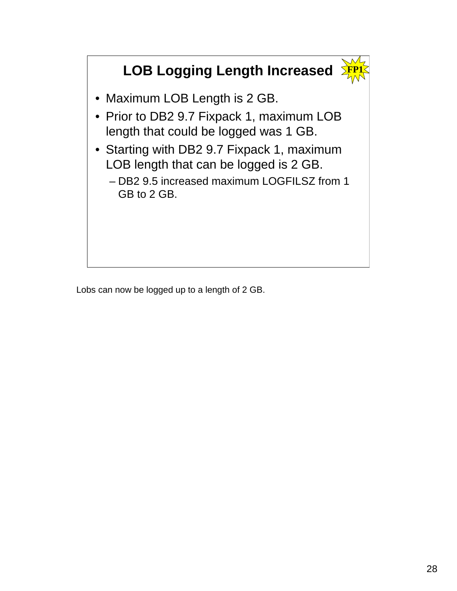# **LOB Logging Length Increased**



- Maximum LOB Length is 2 GB.
- Prior to DB2 9.7 Fixpack 1, maximum LOB length that could be logged was 1 GB.
- Starting with DB2 9.7 Fixpack 1, maximum LOB length that can be logged is 2 GB.
	- DB2 9.5 increased maximum LOGFILSZ from 1 GB to 2 GB.

Lobs can now be logged up to a length of 2 GB.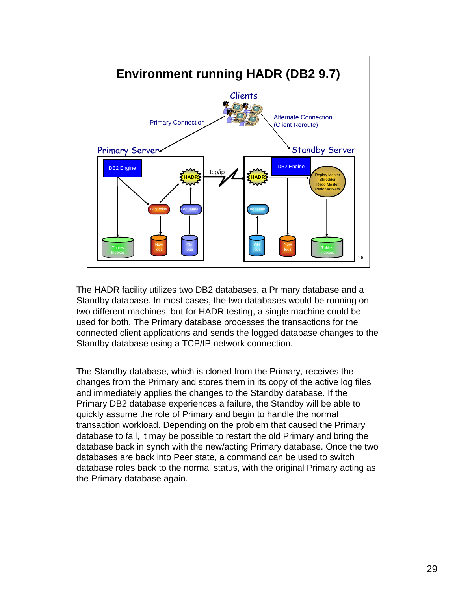

The HADR facility utilizes two DB2 databases, a Primary database and a Standby database. In most cases, the two databases would be running on two different machines, but for HADR testing, a single machine could be used for both. The Primary database processes the transactions for the connected client applications and sends the logged database changes to the Standby database using a TCP/IP network connection.

The Standby database, which is cloned from the Primary, receives the changes from the Primary and stores them in its copy of the active log files and immediately applies the changes to the Standby database. If the Primary DB2 database experiences a failure, the Standby will be able to quickly assume the role of Primary and begin to handle the normal transaction workload. Depending on the problem that caused the Primary database to fail, it may be possible to restart the old Primary and bring the database back in synch with the new/acting Primary database. Once the two databases are back into Peer state, a command can be used to switch database roles back to the normal status, with the original Primary acting as the Primary database again.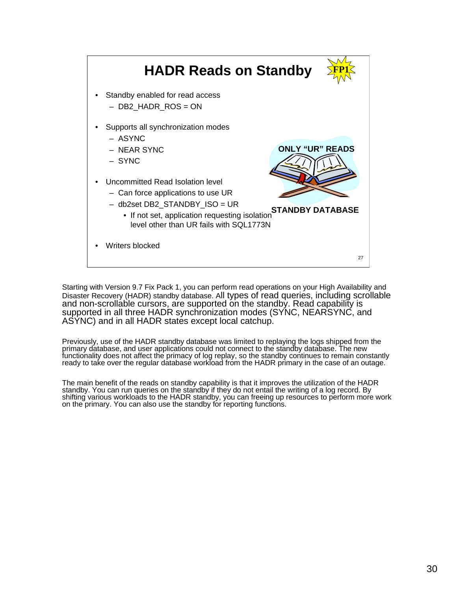

Starting with Version 9.7 Fix Pack 1, you can perform read operations on your High Availability and Disaster Recovery (HADR) standby database. All types of read queries, including scrollable and non-scrollable cursors, are supported on the standby. Read capability is supported in all three HADR synchronization modes (SYNC, NEARSYNC, and ASYNC) and in all HADR states except local catchup.

Previously, use of the HADR standby database was limited to replaying the logs shipped from the primary database, and user applications could not connect to the standby database. The new functionality does not affect the primacy of log replay, so the standby continues to remain constantly ready to take over the regular database workload from the HADR primary in the case of an outage.

The main benefit of the reads on standby capability is that it improves the utilization of the HADR standby. You can run queries on the standby if they do not entail the writing of a log record. By shifting various workloads to the HADR standby, you can freeing up resources to perform more work on the primary. You can also use the standby for reporting functions.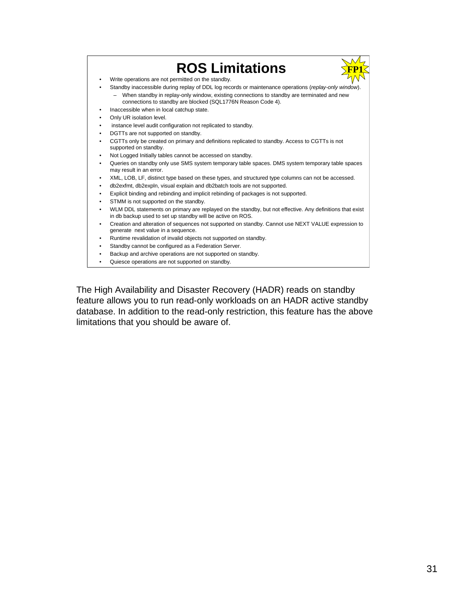

The High Availability and Disaster Recovery (HADR) reads on standby feature allows you to run read-only workloads on an HADR active standby database. In addition to the read-only restriction, this feature has the above limitations that you should be aware of.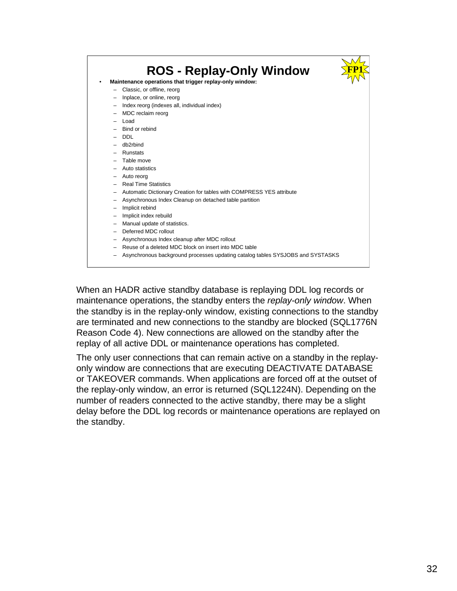

When an HADR active standby database is replaying DDL log records or maintenance operations, the standby enters the *replay-only window*. When the standby is in the replay-only window, existing connections to the standby are terminated and new connections to the standby are blocked (SQL1776N Reason Code 4). New connections are allowed on the standby after the replay of all active DDL or maintenance operations has completed.

The only user connections that can remain active on a standby in the replayonly window are connections that are executing DEACTIVATE DATABASE or TAKEOVER commands. When applications are forced off at the outset of the replay-only window, an error is returned (SQL1224N). Depending on the number of readers connected to the active standby, there may be a slight delay before the DDL log records or maintenance operations are replayed on the standby.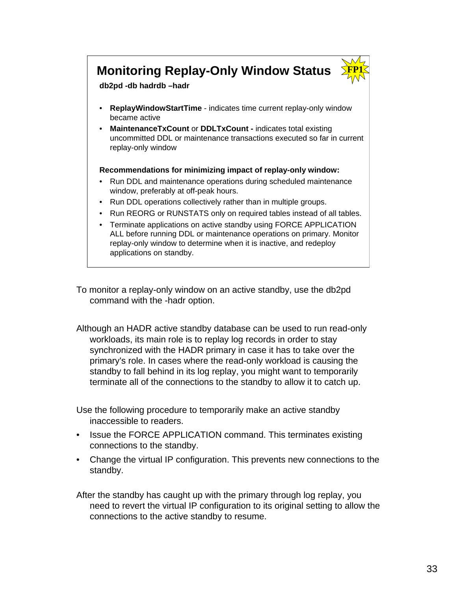### **Monitoring Replay-Only Window Status**



**db2pd -db hadrdb –hadr**

- **ReplayWindowStartTime** indicates time current replay-only window became active
- **MaintenanceTxCount** or **DDLTxCount -** indicates total existing uncommitted DDL or maintenance transactions executed so far in current replay-only window

#### **Recommendations for minimizing impact of replay-only window:**

- Run DDL and maintenance operations during scheduled maintenance window, preferably at off-peak hours.
- Run DDL operations collectively rather than in multiple groups.
- Run REORG or RUNSTATS only on required tables instead of all tables.
- Terminate applications on active standby using FORCE APPLICATION ALL before running DDL or maintenance operations on primary. Monitor replay-only window to determine when it is inactive, and redeploy applications on standby.

To monitor a replay-only window on an active standby, use the db2pd command with the -hadr option.

Although an HADR active standby database can be used to run read-only workloads, its main role is to replay log records in order to stay synchronized with the HADR primary in case it has to take over the primary's role. In cases where the read-only workload is causing the standby to fall behind in its log replay, you might want to temporarily terminate all of the connections to the standby to allow it to catch up.

Use the following procedure to temporarily make an active standby inaccessible to readers.

- Issue the FORCE APPLICATION command. This terminates existing connections to the standby.
- Change the virtual IP configuration. This prevents new connections to the standby.

After the standby has caught up with the primary through log replay, you need to revert the virtual IP configuration to its original setting to allow the connections to the active standby to resume.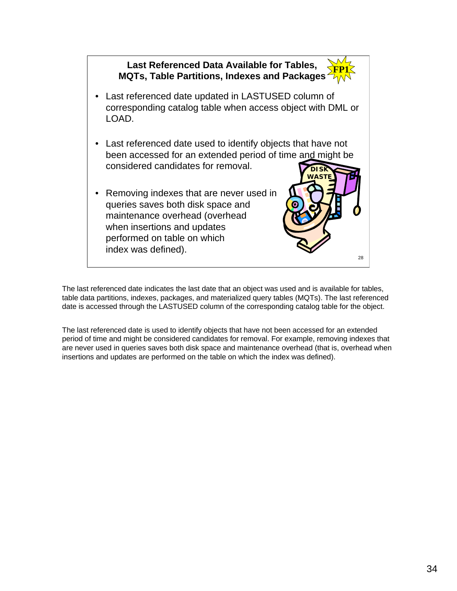

The last referenced date indicates the last date that an object was used and is available for tables, table data partitions, indexes, packages, and materialized query tables (MQTs). The last referenced date is accessed through the LASTUSED column of the corresponding catalog table for the object.

The last referenced date is used to identify objects that have not been accessed for an extended period of time and might be considered candidates for removal. For example, removing indexes that are never used in queries saves both disk space and maintenance overhead (that is, overhead when insertions and updates are performed on the table on which the index was defined).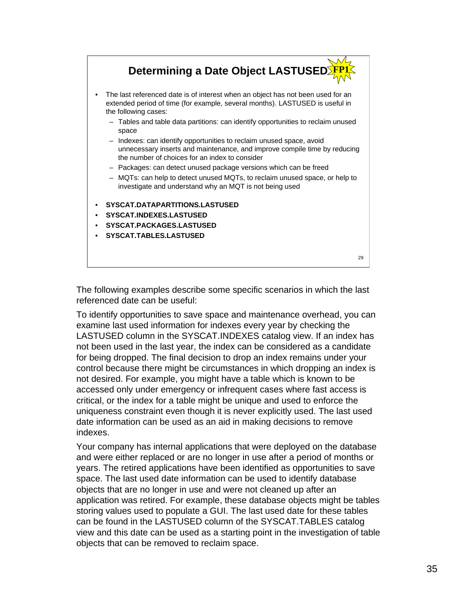

The following examples describe some specific scenarios in which the last referenced date can be useful:

To identify opportunities to save space and maintenance overhead, you can examine last used information for indexes every year by checking the LASTUSED column in the SYSCAT.INDEXES catalog view. If an index has not been used in the last year, the index can be considered as a candidate for being dropped. The final decision to drop an index remains under your control because there might be circumstances in which dropping an index is not desired. For example, you might have a table which is known to be accessed only under emergency or infrequent cases where fast access is critical, or the index for a table might be unique and used to enforce the uniqueness constraint even though it is never explicitly used. The last used date information can be used as an aid in making decisions to remove indexes.

Your company has internal applications that were deployed on the database and were either replaced or are no longer in use after a period of months or years. The retired applications have been identified as opportunities to save space. The last used date information can be used to identify database objects that are no longer in use and were not cleaned up after an application was retired. For example, these database objects might be tables storing values used to populate a GUI. The last used date for these tables can be found in the LASTUSED column of the SYSCAT.TABLES catalog view and this date can be used as a starting point in the investigation of table objects that can be removed to reclaim space.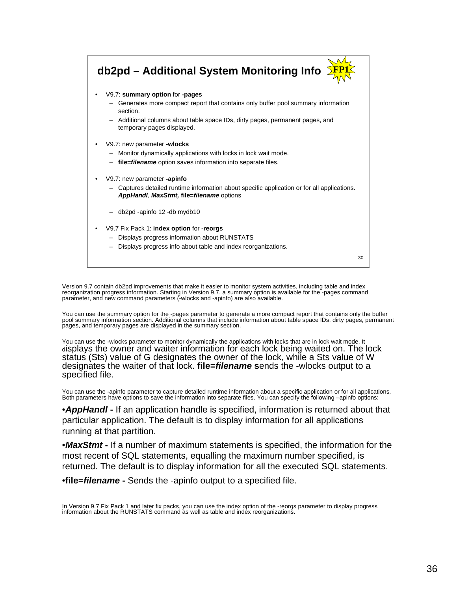

Version 9.7 contain db2pd improvements that make it easier to monitor system activities, including table and index reorganization progress information. Starting in Version 9.7, a summary option is available for the -pages command<br>parameter, and new command parameters (-wlocks and -apinfo) are also available.

You can use the summary option for the -pages parameter to generate a more compact report that contains only the buffer<br>pool summary information section. Additional columns that include information about table space IDs, d pages, and temporary pages are displayed in the summary section.

You can use the -wlocks parameter to monitor dynamically the applications with locks that are in lock wait mode. It displays the owner and waiter information for each lock being waited on. The lock<br>status (Sts) value of G designates the owner of the lock, while a Sts value of W designates the waiter of that lock. **file=***filename* **s**ends the -wlocks output to a specified file.

You can use the -apinfo parameter to capture detailed runtime information about a specific application or for all applications. Both parameters have options to save the information into separate files. You can specify the following –apinfo options:

•*AppHandl* **-** If an application handle is specified, information is returned about that particular application. The default is to display information for all applications running at that partition.

•*MaxStmt* **-** If a number of maximum statements is specified, the information for the most recent of SQL statements, equalling the maximum number specified, is returned. The default is to display information for all the executed SQL statements.

•**file=***filename* **-** Sends the -apinfo output to a specified file.

In Version 9.7 Fix Pack 1 and later fix packs, you can use the index option of the -reorgs parameter to display progress information about the RUNSTATS command as well as table and index reorganizations.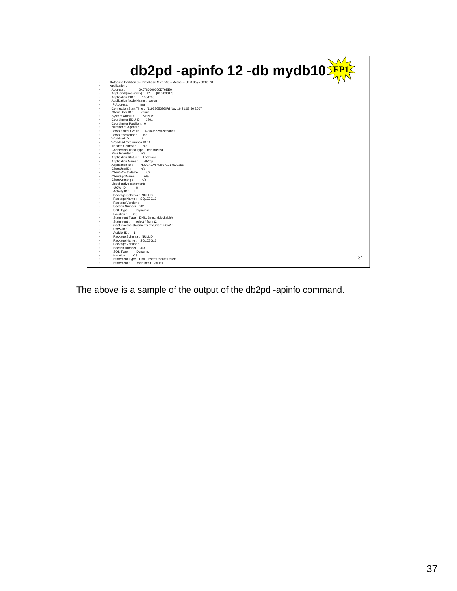

The above is a sample of the output of the db2pd -apinfo command.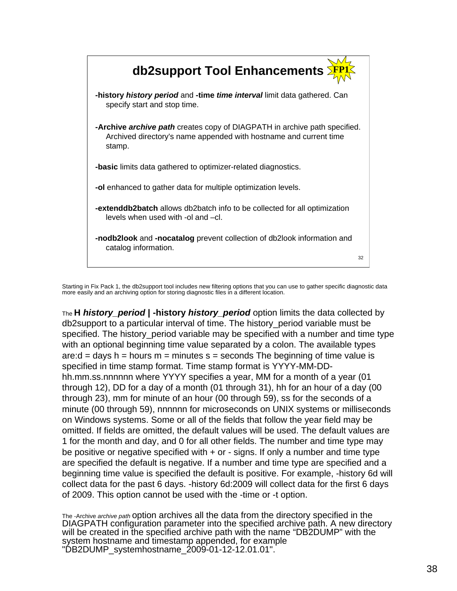

Starting in Fix Pack 1, the db2support tool includes new filtering options that you can use to gather specific diagnostic data more easily and an archiving option for storing diagnostic files in a different location.

The **H** *history\_period* **| -history** *history\_period* option limits the data collected by db2support to a particular interval of time. The history\_period variable must be specified. The history period variable may be specified with a number and time type with an optional beginning time value separated by a colon. The available types are:d = days  $h =$  hours  $m =$  minutes  $s =$  seconds The beginning of time value is specified in time stamp format. Time stamp format is YYYY-MM-DDhh.mm.ss.nnnnnn where YYYY specifies a year, MM for a month of a year (01 through 12), DD for a day of a month (01 through 31), hh for an hour of a day (00 through 23), mm for minute of an hour (00 through 59), ss for the seconds of a minute (00 through 59), nnnnnn for microseconds on UNIX systems or milliseconds on Windows systems. Some or all of the fields that follow the year field may be omitted. If fields are omitted, the default values will be used. The default values are 1 for the month and day, and 0 for all other fields. The number and time type may be positive or negative specified with + or - signs. If only a number and time type are specified the default is negative. If a number and time type are specified and a beginning time value is specified the default is positive. For example, -history 6d will collect data for the past 6 days. -history 6d:2009 will collect data for the first 6 days of 2009. This option cannot be used with the -time or -t option.

The -Archive *archive path* option archives all the data from the directory specified in the DIAGPATH configuration parameter into the specified archive path. A new directory will be created in the specified archive path with the name "DB2DUMP" with the system hostname and timestamp appended, for example "DB2DUMP\_systemhostname\_2009-01-12-12.01.01".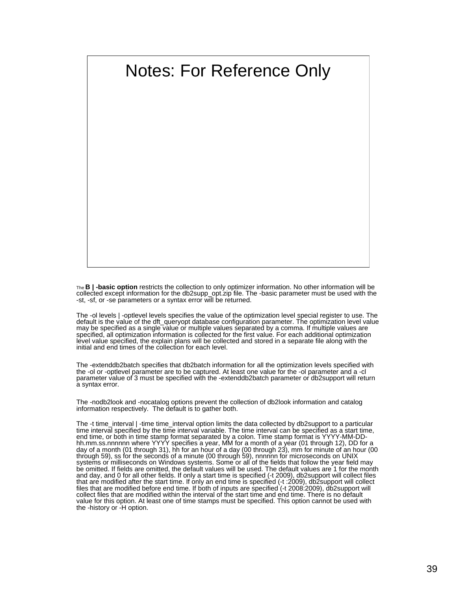

The **B | -basic option** restricts the collection to only optimizer information. No other information will be collected except information for the db2supp\_opt.zip file. The -basic parameter must be used with the -st, -sf, or -se parameters or a syntax error will be returned.

The -ol levels | -optlevel levels specifies the value of the optimization level special register to use. The default is the value of the dft\_queryopt database configuration parameter. The optimization level value may be specified as a single value or multiple values separated by a comma. If multiple values are specified, all optimization information is collected for the first value. For each additional optimization level value specified, the explain plans will be collected and stored in a separate file along with the initial and end times of the collection for each level.

The -extenddb2batch specifies that db2batch information for all the optimization levels specified with the -ol or -optlevel parameter are to be captured. At least one value for the -ol parameter and a -cl parameter value of 3 must be specified with the -extenddb2batch parameter or db2support will return a syntax error.

The -nodb2look and -nocatalog options prevent the collection of db2look information and catalog information respectively. The default is to gather both.

The -t time\_interval | -time time\_interval option limits the data collected by db2support to a particular time interval specified by the time interval variable. The time interval can be specified as a start time, end time, or both in time stamp format separated by a colon. Time stamp format is YYYY-MM-DDhh.mm.ss.nnnnnn where YYYY specifies a year, MM for a month of a year (01 through 12), DD for a day of a month (01 through 31), hh for an hour of a day (00 through 23), mm for minute of an hour (00 through 59), ss for the seconds of a minute (00 through 59), nnnnnn for microseconds on UNIX<br>systems or milliseconds on Windows systems. Some or all of the fields that follow the year field may be omitted. If fields are omitted, the default values will be used. The default values are 1 for the month and day, and 0 for all other fields. If only a start time is specified (-t 2009), db2support will collect files that are modified after the start time. If only an end time is specified (-t :2009), db2support will collect files that are modified before end time. If both of inputs are specified (-t 2008:2009), db2support will collect files that are modified within the interval of the start time and end time. There is no default value for this option. At least one of time stamps must be specified. This option cannot be used with the -history or -H option.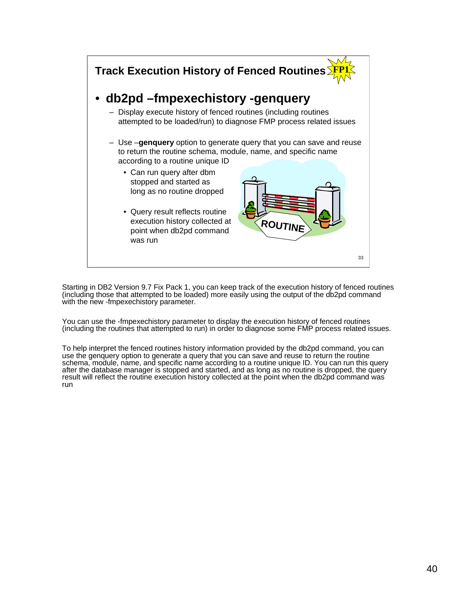

Starting in DB2 Version 9.7 Fix Pack 1, you can keep track of the execution history of fenced routines (including those that attempted to be loaded) more easily using the output of the db2pd command with the new -fmpexechistory parameter.

You can use the -fmpexechistory parameter to display the execution history of fenced routines (including the routines that attempted to run) in order to diagnose some FMP process related issues.

To help interpret the fenced routines history information provided by the db2pd command, you can use the genquery option to generate a query that you can save and reuse to return the routine schema, module, name, and specific name according to a routine unique ID. You can run this query after the database manager is stopped and started, and as long as no routine is dropped, the query result will reflect the routine execution history collected at the point when the db2pd command was run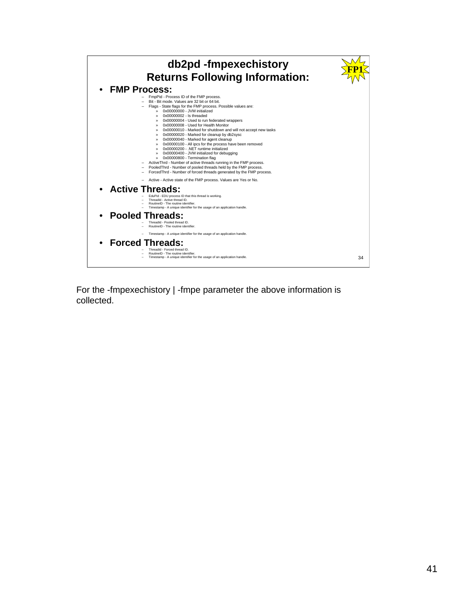

For the -fmpexechistory | -fmpe parameter the above information is collected.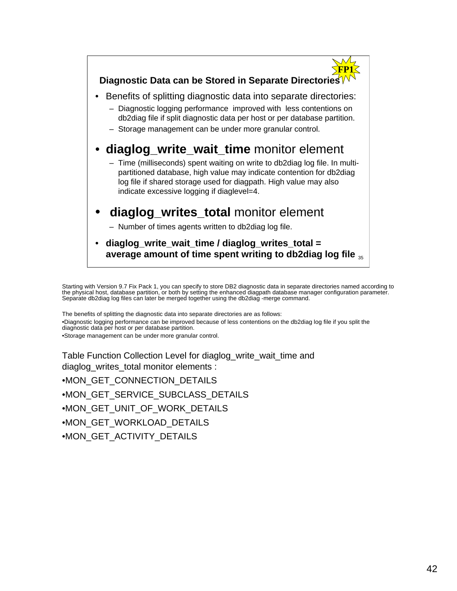

Starting with Version 9.7 Fix Pack 1, you can specify to store DB2 diagnostic data in separate directories named according to the physical host, database partition, or both by setting the enhanced diagpath database manager configuration parameter. Separate db2diag log files can later be merged together using the db2diag -merge command.

The benefits of splitting the diagnostic data into separate directories are as follows:

•Diagnostic logging performance can be improved because of less contentions on the db2diag log file if you split the diagnostic data per host or per database partition.

•Storage management can be under more granular control.

Table Function Collection Level for diaglog\_write\_wait\_time and diaglog\_writes\_total monitor elements :

•MON\_GET\_CONNECTION\_DETAILS •MON\_GET\_SERVICE\_SUBCLASS\_DETAILS •MON\_GET\_UNIT\_OF\_WORK\_DETAILS •MON\_GET\_WORKLOAD\_DETAILS

•MON\_GET\_ACTIVITY\_DETAILS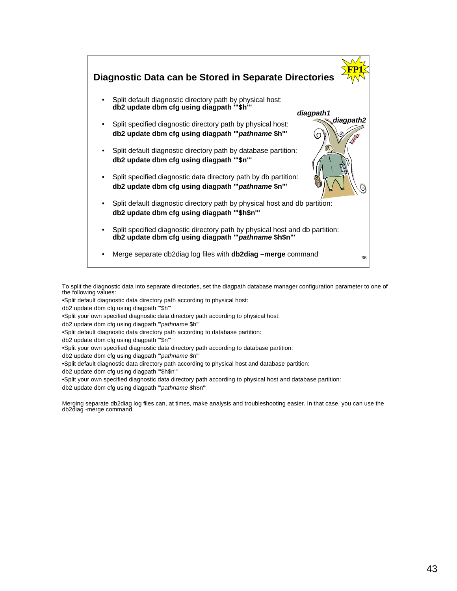

To split the diagnostic data into separate directories, set the diagpath database manager configuration parameter to one of the following values:

•Split default diagnostic data directory path according to physical host:

db2 update dbm cfg using diagpath '"\$h"'

•Split your own specified diagnostic data directory path according to physical host:

db2 update dbm cfg using diagpath '"*pathname* \$h"'

•Split default diagnostic data directory path according to database partition:

db2 update dbm cfg using diagpath '"\$n"'

•Split your own specified diagnostic data directory path according to database partition:

db2 update dbm cfg using diagpath '"*pathname* \$n"'

•Split default diagnostic data directory path according to physical host and database partition:

db2 update dbm cfg using diagpath '"\$h\$n"'

•Split your own specified diagnostic data directory path according to physical host and database partition:

db2 update dbm cfg using diagpath '"*pathname* \$h\$n"'

Merging separate db2diag log files can, at times, make analysis and troubleshooting easier. In that case, you can use the db2diag -merge command.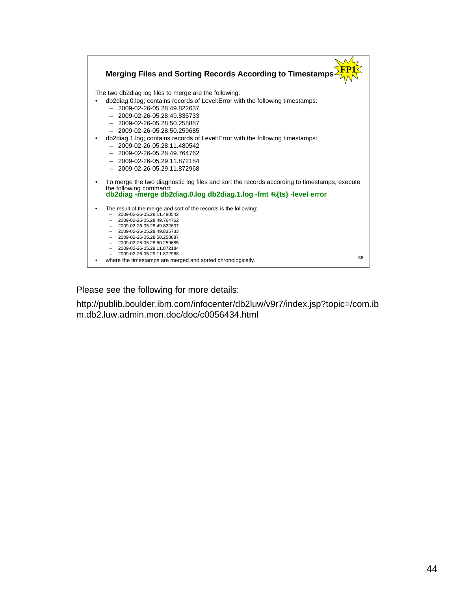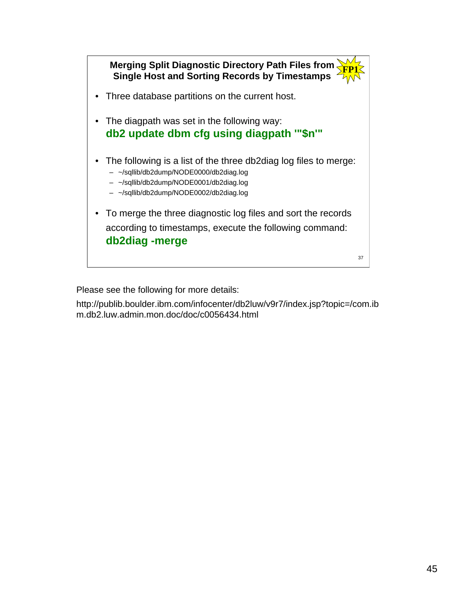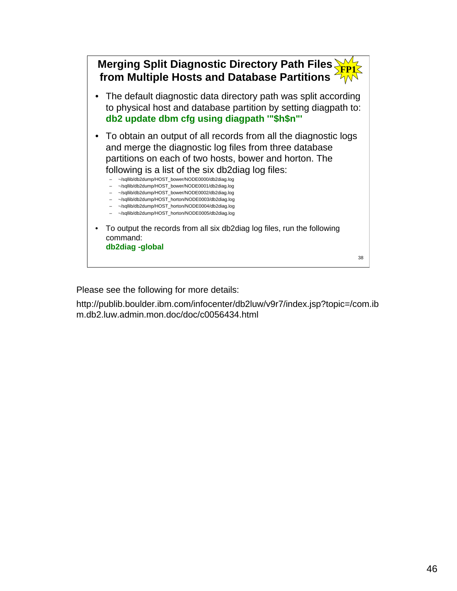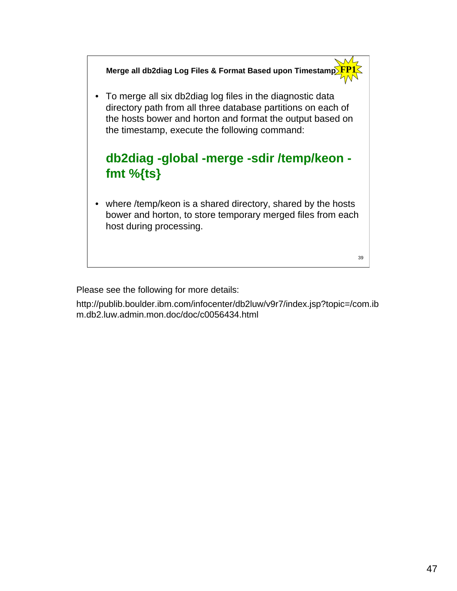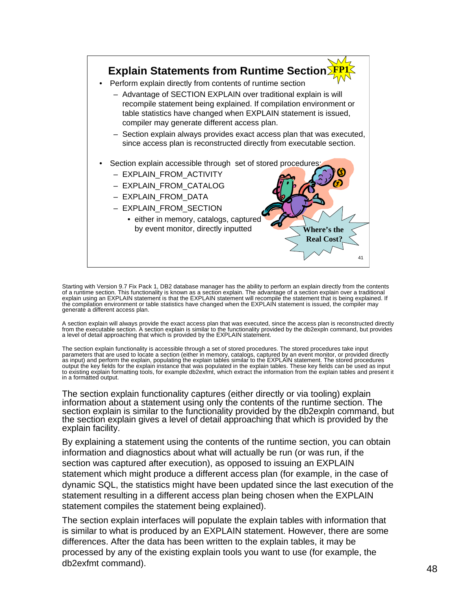

Starting with Version 9.7 Fix Pack 1, DB2 database manager has the ability to perform an explain directly from the contents<br>of a runtime section. This functionality is known as a section explain. The advantage of a section generate a different access plan.

A section explain will always provide the exact access plan that was executed, since the access plan is reconstructed directly<br>from the executable section. A section explain is similar to the functionality provided by the a level of detail approaching that which is provided by the EXPLAIN statement.

The section explain functionality is accessible through a set of stored procedures. The stored procedures take input<br>parameters that are used to locate a section (either in memory, catalogs, captured by an event monitor, o as input) and perform the explain, populating the explain tables similar to the EXPLAIN statement. The stored procedures<br>output the key fields for the explain instance that was populated in the explain tables. These key fi in a formatted output.

The section explain functionality captures (either directly or via tooling) explain information about a statement using only the contents of the runtime section. The section explain is similar to the functionality provided by the db2expln command, but the section explain gives a level of detail approaching that which is provided by the explain facility.

By explaining a statement using the contents of the runtime section, you can obtain information and diagnostics about what will actually be run (or was run, if the section was captured after execution), as opposed to issuing an EXPLAIN statement which might produce a different access plan (for example, in the case of dynamic SQL, the statistics might have been updated since the last execution of the statement resulting in a different access plan being chosen when the EXPLAIN statement compiles the statement being explained).

The section explain interfaces will populate the explain tables with information that is similar to what is produced by an EXPLAIN statement. However, there are some differences. After the data has been written to the explain tables, it may be processed by any of the existing explain tools you want to use (for example, the db2exfmt command).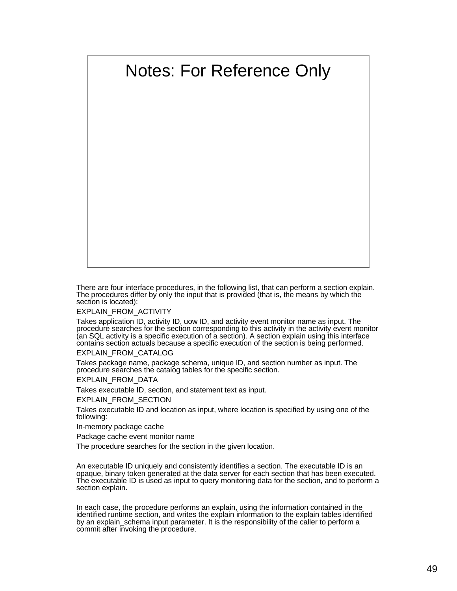# Notes: For Reference Only

There are four interface procedures, in the following list, that can perform a section explain. The procedures differ by only the input that is provided (that is, the means by which the section is located):

EXPLAIN\_FROM\_ACTIVITY

Takes application ID, activity ID, uow ID, and activity event monitor name as input. The procedure searches for the section corresponding to this activity in the activity event monitor (an SQL activity is a specific execution of a section). A section explain using this interface contains section actuals because a specific execution of the section is being performed.

EXPLAIN\_FROM\_CATALOG

Takes package name, package schema, unique ID, and section number as input. The procedure searches the catalog tables for the specific section.

EXPLAIN\_FROM\_DATA

Takes executable ID, section, and statement text as input.

EXPLAIN\_FROM\_SECTION

Takes executable ID and location as input, where location is specified by using one of the following:

In-memory package cache

Package cache event monitor name

The procedure searches for the section in the given location.

An executable ID uniquely and consistently identifies a section. The executable ID is an opaque, binary token generated at the data server for each section that has been executed. The executable ID is used as input to query monitoring data for the section, and to perform a section explain.

In each case, the procedure performs an explain, using the information contained in the identified runtime section, and writes the explain information to the explain tables identified by an explain schema input parameter. It is the responsibility of the caller to perform a commit after invoking the procedure.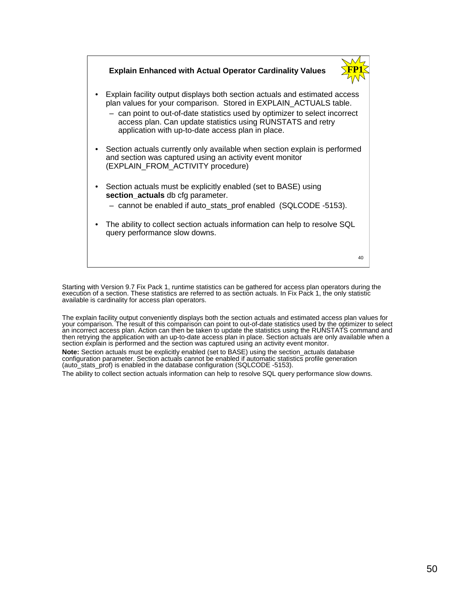

Starting with Version 9.7 Fix Pack 1, runtime statistics can be gathered for access plan operators during the execution of a section. These statistics are referred to as section actuals. In Fix Pack 1, the only statistic available is cardinality for access plan operators.

The explain facility output conveniently displays both the section actuals and estimated access plan values for your comparison. The result of this comparison can point to out-of-date statistics used by the optimizer to select an incorrect access plan. Action can then be taken to update the statistics using the RUNSTATS command and then retrying the application with an up-to-date access plan in place. Section actuals are only available when a section explain is performed and the section was captured using an activity event monitor.

**Note:** Section actuals must be explicitly enabled (set to BASE) using the section\_actuals database configuration parameter. Section actuals cannot be enabled if automatic statistics profile generation (auto\_stats\_prof) is enabled in the database configuration (SQLCODE -5153).

The ability to collect section actuals information can help to resolve SQL query performance slow downs.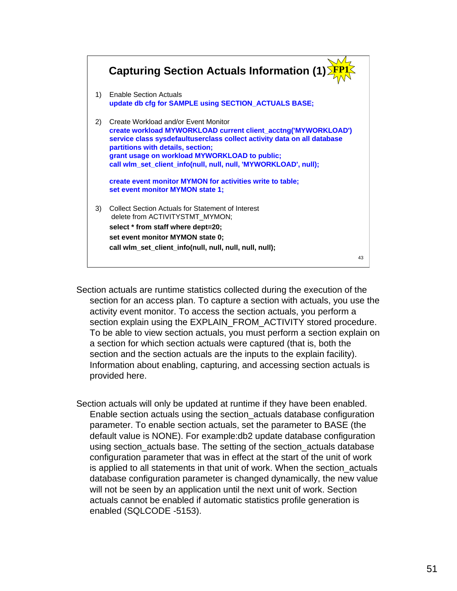

- Section actuals are runtime statistics collected during the execution of the section for an access plan. To capture a section with actuals, you use the activity event monitor. To access the section actuals, you perform a section explain using the EXPLAIN\_FROM\_ACTIVITY stored procedure. To be able to view section actuals, you must perform a section explain on a section for which section actuals were captured (that is, both the section and the section actuals are the inputs to the explain facility). Information about enabling, capturing, and accessing section actuals is provided here.
- Section actuals will only be updated at runtime if they have been enabled. Enable section actuals using the section\_actuals database configuration parameter. To enable section actuals, set the parameter to BASE (the default value is NONE). For example:db2 update database configuration using section\_actuals base. The setting of the section\_actuals database configuration parameter that was in effect at the start of the unit of work is applied to all statements in that unit of work. When the section actuals database configuration parameter is changed dynamically, the new value will not be seen by an application until the next unit of work. Section actuals cannot be enabled if automatic statistics profile generation is enabled (SQLCODE -5153).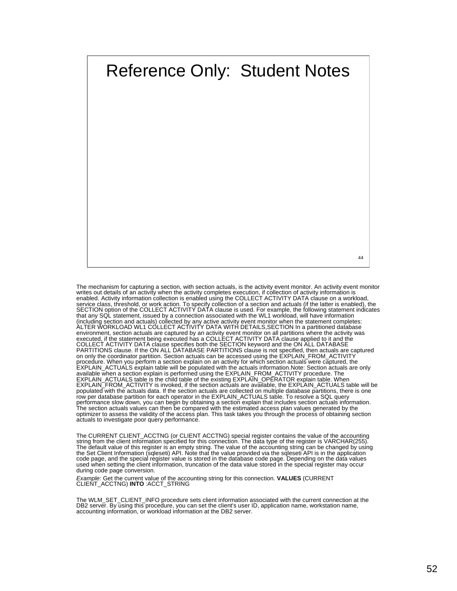

The mechanism for capturing a section, with section actuals, is the activity event monitor. An activity event monitor writes out details of an activity when the activity and the enabled. Activity information is enabled usi environment, section actuals are captured by an activity event monitor on all partitions where the activity was<br>executed, if the statement being executed has a COLLECT ACTIVITY DATA clause applied to it and the<br>COLLECT ACT procedure. When you perform a section explain on an activity for which section actuals were captured, the EXPLAIN\_ACTUALS explain table will be populated with the actuals information.Note: Section actuals are only<br>available when a section explain is performed using the EXPLAIN\_FROM\_ACTIVITY procedure. The<br>EXPLAIN\_ACTUALS table performance slow down, you can begin by obtaining a section explain that includes section actuals information. The section actuals values can then be compared with the estimated access plan values generated by the optimizer to assess the validity of the access plan. This task takes you through the process of obtaining section actuals to investigate poor query performance.

The CURRENT CLIENT\_ACCTNG (or CLIENT ACCTNG) special register contains the value of the accounting string from the client information specified for this connection. The data type of the register is VARCHAR(255). The default value of this register is an empty string. The value of the accounting string can be changed by using<br>the Set Client Information (sqleseti) API. Note that the value provided via the sqleseti API is in the appli code page, and the special register value is stored in the database code page. Depending on the data values used when setting the client information, truncation of the data value stored in the special register may occur during code page conversion.

*Example:* Get the current value of the accounting string for this connection. **VALUES** (CURRENT CLIENT\_ACCTNG) **INTO** :ACCT\_STRING

The WLM\_SET\_CLIENT\_INFO procedure sets client information associated with the current connection at the DB2 server. By using this procedure, you can set the client's user ID, application name, workstation name, accounting information, or workload information at the DB2 server.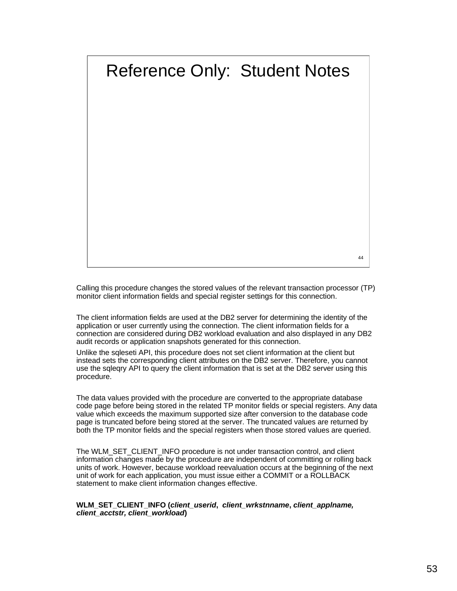# Reference Only: Student Notes

44

Calling this procedure changes the stored values of the relevant transaction processor (TP) monitor client information fields and special register settings for this connection.

The client information fields are used at the DB2 server for determining the identity of the application or user currently using the connection. The client information fields for a connection are considered during DB2 workload evaluation and also displayed in any DB2 audit records or application snapshots generated for this connection.

Unlike the sqleseti API, this procedure does not set client information at the client but instead sets the corresponding client attributes on the DB2 server. Therefore, you cannot use the sqleqry API to query the client information that is set at the DB2 server using this procedure.

The data values provided with the procedure are converted to the appropriate database code page before being stored in the related TP monitor fields or special registers. Any data value which exceeds the maximum supported size after conversion to the database code page is truncated before being stored at the server. The truncated values are returned by both the TP monitor fields and the special registers when those stored values are queried.

The WLM\_SET\_CLIENT\_INFO procedure is not under transaction control, and client information changes made by the procedure are independent of committing or rolling back units of work. However, because workload reevaluation occurs at the beginning of the next unit of work for each application, you must issue either a COMMIT or a ROLLBACK statement to make client information changes effective.

### **WLM\_SET\_CLIENT\_INFO (***client\_userid***,** *client\_wrkstnname***,** *client\_applname, client\_acctstr, client\_workload***)**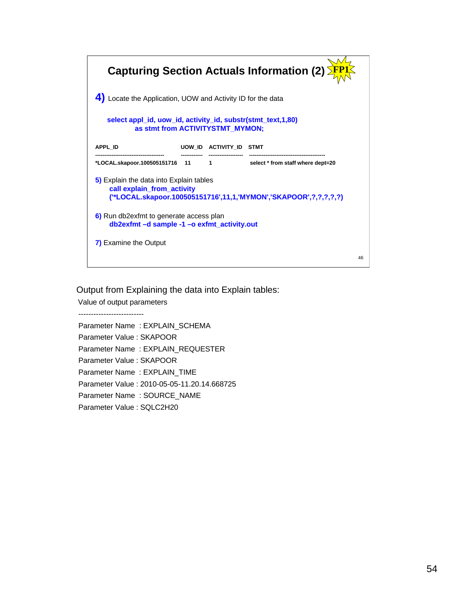

Output from Explaining the data into Explain tables:

Value of output parameters

--------------------------

Parameter Name : EXPLAIN\_SCHEMA Parameter Value : SKAPOOR Parameter Name : EXPLAIN\_REQUESTER Parameter Value : SKAPOOR Parameter Name : EXPLAIN\_TIME Parameter Value : 2010-05-05-11.20.14.668725 Parameter Name : SOURCE\_NAME Parameter Value : SQLC2H20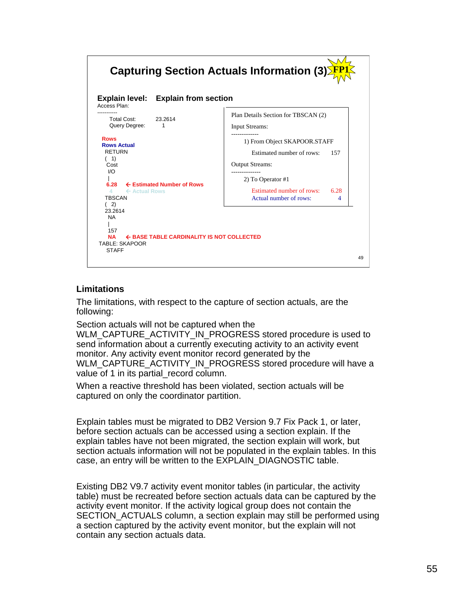

# **Limitations**

The limitations, with respect to the capture of section actuals, are the following:

Section actuals will not be captured when the WLM\_CAPTURE\_ACTIVITY\_IN\_PROGRESS stored procedure is used to send information about a currently executing activity to an activity event monitor. Any activity event monitor record generated by the WLM\_CAPTURE\_ACTIVITY\_IN\_PROGRESS stored procedure will have a value of 1 in its partial record column.

When a reactive threshold has been violated, section actuals will be captured on only the coordinator partition.

Explain tables must be migrated to DB2 Version 9.7 Fix Pack 1, or later, before section actuals can be accessed using a section explain. If the explain tables have not been migrated, the section explain will work, but section actuals information will not be populated in the explain tables. In this case, an entry will be written to the EXPLAIN\_DIAGNOSTIC table.

Existing DB2 V9.7 activity event monitor tables (in particular, the activity table) must be recreated before section actuals data can be captured by the activity event monitor. If the activity logical group does not contain the SECTION\_ACTUALS column, a section explain may still be performed using a section captured by the activity event monitor, but the explain will not contain any section actuals data.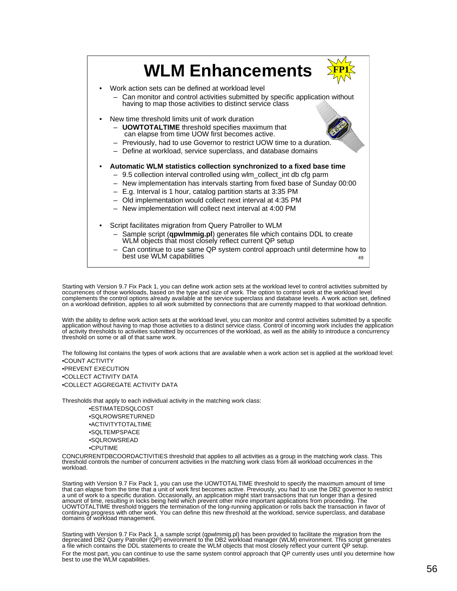

Starting with Version 9.7 Fix Pack 1, you can define work action sets at the workload level to control activities submitted by occurrences of those workloads, based on the type and size of work. The option to control work at the workload level complements the control options already available at the service superclass and database levels. A work action set, defined on a workload definition, applies to all work submitted by connections that are currently mapped to that workload definition.

With the ability to define work action sets at the workload level, you can monitor and control activities submitted by a specific application without having to map those activities to a distinct service class. Control of incoming work includes the application<br>of activity thresholds to activities submitted by occurrences of the workload, as well as th

The following list contains the types of work actions that are available when a work action set is applied at the workload level: •COUNT ACTIVITY •PREVENT EXECUTION •COLLECT ACTIVITY DATA •COLLECT AGGREGATE ACTIVITY DATA

Thresholds that apply to each individual activity in the matching work class:

•ESTIMATEDSQLCOST •SQLROWSRETURNED •ACTIVITYTOTALTIME •SQLTEMPSPACE •SQLROWSREAD •CPUTIME

CONCURRENTDBCOORDACTIVITIES threshold that applies to all activities as a group in the matching work class. This threshold controls the number of concurrent activities in the matching work class from all workload occurrences in the workload.

Starting with Version 9.7 Fix Pack 1, you can use the UOWTOTALTIME threshold to specify the maximum amount of time<br>that can elapse from the time that a unit of work first becomes active. Previously, you had to use the DB2 amount of time, resulting in locks being held which prevent other more important applications from proceeding. The<br>UOWTOTALTIME threshold triggers the termination of the long-running application or rolls back the transacti

Starting with Version 9.7 Fix Pack 1, a sample script (qpwlmmig.pl) has been provided to facilitate the migration from the<br>deprecated DB2 Query Patroller (QP) environment to the DB2 workload manager (WLM) environment. This a file which contains the DDL statements to create the WLM objects that most closely reflect your current QP setup. For the most part, you can continue to use the same system control approach that QP currently uses until you determine how best to use the WLM capabilities.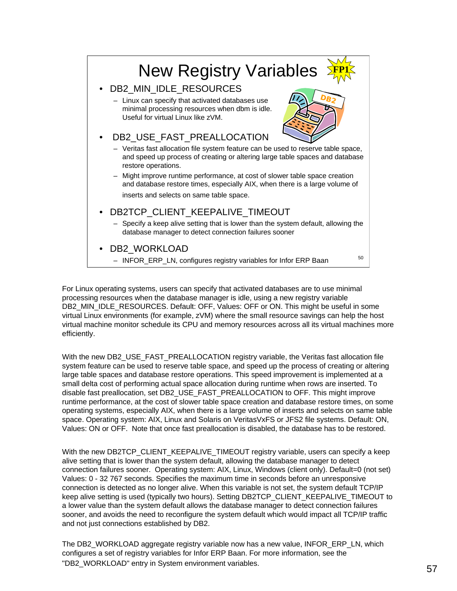

For Linux operating systems, users can specify that activated databases are to use minimal processing resources when the database manager is idle, using a new registry variable DB2\_MIN\_IDLE\_RESOURCES. Default: OFF, Values: OFF or ON. This might be useful in some virtual Linux environments (for example, zVM) where the small resource savings can help the host virtual machine monitor schedule its CPU and memory resources across all its virtual machines more efficiently.

With the new DB2\_USE\_FAST\_PREALLOCATION registry variable, the Veritas fast allocation file system feature can be used to reserve table space, and speed up the process of creating or altering large table spaces and database restore operations. This speed improvement is implemented at a small delta cost of performing actual space allocation during runtime when rows are inserted. To disable fast preallocation, set DB2\_USE\_FAST\_PREALLOCATION to OFF. This might improve runtime performance, at the cost of slower table space creation and database restore times, on some operating systems, especially AIX, when there is a large volume of inserts and selects on same table space. Operating system: AIX, Linux and Solaris on VeritasVxFS or JFS2 file systems. Default: ON, Values: ON or OFF. Note that once fast preallocation is disabled, the database has to be restored.

With the new DB2TCP\_CLIENT\_KEEPALIVE\_TIMEOUT registry variable, users can specify a keep alive setting that is lower than the system default, allowing the database manager to detect connection failures sooner. Operating system: AIX, Linux, Windows (client only). Default=0 (not set) Values: 0 - 32 767 seconds. Specifies the maximum time in seconds before an unresponsive connection is detected as no longer alive. When this variable is not set, the system default TCP/IP keep alive setting is used (typically two hours). Setting DB2TCP\_CLIENT\_KEEPALIVE\_TIMEOUT to a lower value than the system default allows the database manager to detect connection failures sooner, and avoids the need to reconfigure the system default which would impact all TCP/IP traffic and not just connections established by DB2.

The DB2\_WORKLOAD aggregate registry variable now has a new value, INFOR\_ERP\_LN, which configures a set of registry variables for Infor ERP Baan. For more information, see the "DB2\_WORKLOAD" entry in System environment variables.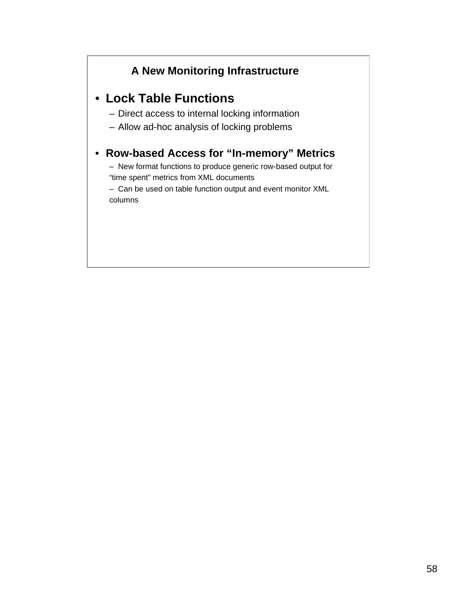# **A New Monitoring Infrastructure**

# • **Lock Table Functions**

- Direct access to internal locking information
- Allow ad-hoc analysis of locking problems

# • **Row-based Access for "In-memory" Metrics**

– New format functions to produce generic row-based output for "time spent" metrics from XML documents

– Can be used on table function output and event monitor XML columns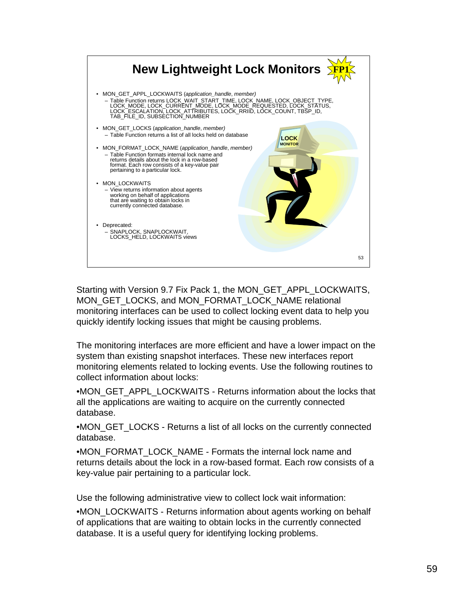

Starting with Version 9.7 Fix Pack 1, the MON\_GET\_APPL\_LOCKWAITS, MON\_GET\_LOCKS, and MON\_FORMAT\_LOCK\_NAME relational monitoring interfaces can be used to collect locking event data to help you quickly identify locking issues that might be causing problems.

The monitoring interfaces are more efficient and have a lower impact on the system than existing snapshot interfaces. These new interfaces report monitoring elements related to locking events. Use the following routines to collect information about locks:

•MON\_GET\_APPL\_LOCKWAITS - Returns information about the locks that all the applications are waiting to acquire on the currently connected database.

•MON\_GET\_LOCKS - Returns a list of all locks on the currently connected database.

•MON\_FORMAT\_LOCK\_NAME - Formats the internal lock name and returns details about the lock in a row-based format. Each row consists of a key-value pair pertaining to a particular lock.

Use the following administrative view to collect lock wait information:

•MON\_LOCKWAITS - Returns information about agents working on behalf of applications that are waiting to obtain locks in the currently connected database. It is a useful query for identifying locking problems.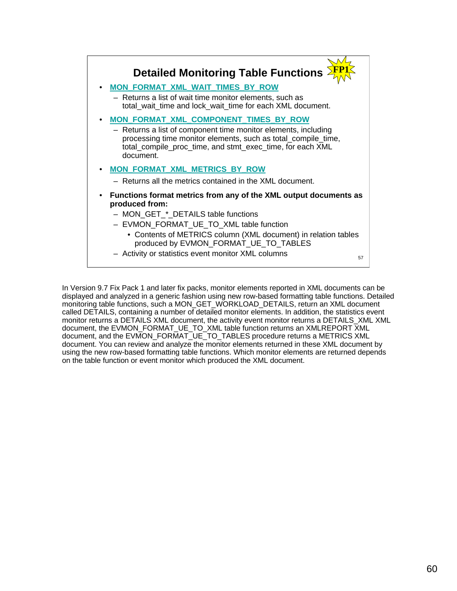

In Version 9.7 Fix Pack 1 and later fix packs, monitor elements reported in XML documents can be displayed and analyzed in a generic fashion using new row-based formatting table functions. Detailed monitoring table functions, such a MON\_GET\_WORKLOAD\_DETAILS, return an XML document called DETAILS, containing a number of detailed monitor elements. In addition, the statistics event monitor returns a DETAILS XML document, the activity event monitor returns a DETAILS\_XML XML document, the EVMON\_FORMAT\_UE\_TO\_XML table function returns an XMLREPORT XML document, and the EVMON\_FORMAT\_UE\_TO\_TABLES procedure returns a METRICS XML document. You can review and analyze the monitor elements returned in these XML document by using the new row-based formatting table functions. Which monitor elements are returned depends on the table function or event monitor which produced the XML document.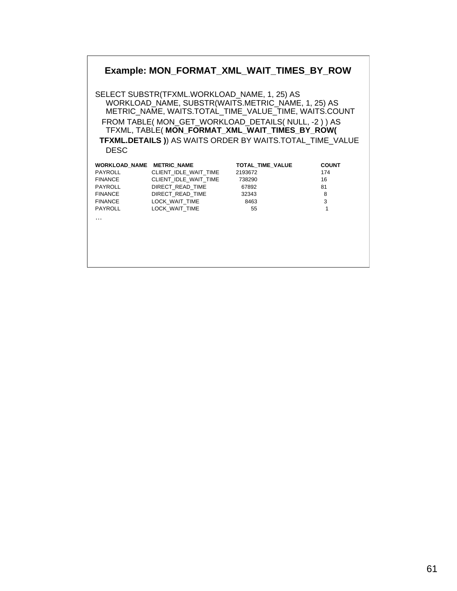# **Example: MON\_FORMAT\_XML\_WAIT\_TIMES\_BY\_ROW**

SELECT SUBSTR(TFXML.WORKLOAD\_NAME, 1, 25) AS WORKLOAD\_NAME, SUBSTR(WAITS.METRIC\_NAME, 1, 25) AS METRIC\_NAME, WAITS.TOTAL\_TIME\_VALUE\_TIME, WAITS.COUNT FROM TABLE( MON\_GET\_WORKLOAD\_DETAILS( NULL, -2 ) ) AS TFXML, TABLE( **MON\_FORMAT\_XML\_WAIT\_TIMES\_BY\_ROW( TFXML.DETAILS )**) AS WAITS ORDER BY WAITS.TOTAL\_TIME\_VALUE DESC

| <b>WORKLOAD NAME</b> | <b>METRIC NAME</b>    | TOTAL TIME VALUE | <b>COUNT</b> |
|----------------------|-----------------------|------------------|--------------|
| <b>PAYROLL</b>       | CLIENT IDLE WAIT TIME | 2193672          | 174          |
| <b>FINANCE</b>       | CLIENT IDLE WAIT TIME | 738290           | 16           |
| <b>PAYROLL</b>       | DIRECT READ TIME      | 67892            | 81           |
| <b>FINANCE</b>       | DIRECT READ TIME      | 32343            | 8            |
| <b>FINANCE</b>       | LOCK WAIT TIME        | 8463             | 3            |
| <b>PAYROLL</b>       | LOCK WAIT TIME        | 55               |              |
| $\cdots$             |                       |                  |              |
|                      |                       |                  |              |
|                      |                       |                  |              |
|                      |                       |                  |              |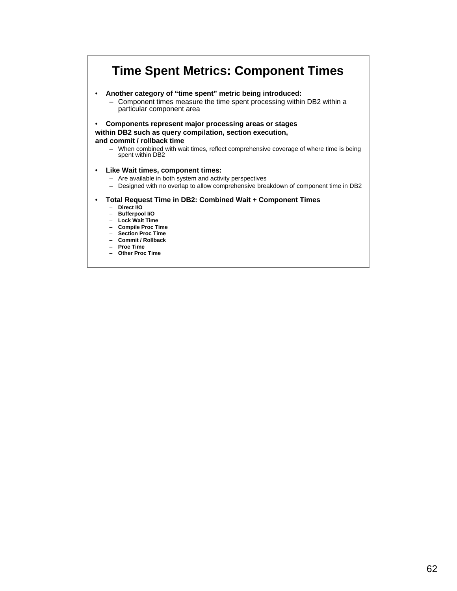# **Time Spent Metrics: Component Times**

• **Another category of "time spent" metric being introduced:**

– Component times measure the time spent processing within DB2 within a particular component area

• **Components represent major processing areas or stages within DB2 such as query compilation, section execution,**

**and commit / rollback time**

– When combined with wait times, reflect comprehensive coverage of where time is being spent within DB2

### • **Like Wait times, component times:**

- Are available in both system and activity perspectives
- Designed with no overlap to allow comprehensive breakdown of component time in DB2

#### • **Total Request Time in DB2: Combined Wait + Component Times**

- **Direct I/O**
- **Bufferpool I/O**
- **Lock Wait Time** – **Compile Proc Time**
- **Section Proc Time**
- **Commit / Rollback**
- **Proc Time**
- **Other Proc Time**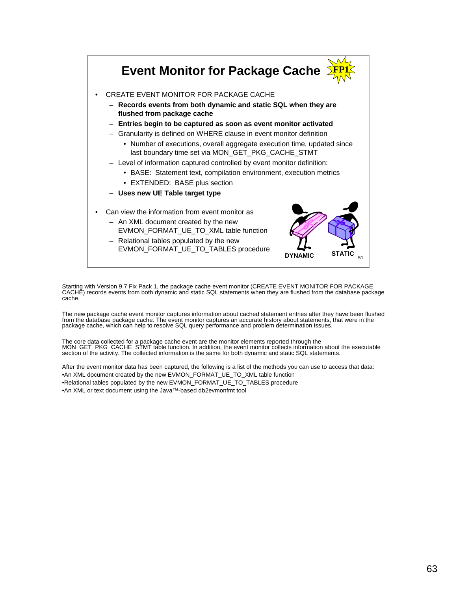

Starting with Version 9.7 Fix Pack 1, the package cache event monitor (CREATE EVENT MONITOR FOR PACKAGE CACHE) records events from both dynamic and static SQL statements when they are flushed from the database package cache.

The new package cache event monitor captures information about cached statement entries after they have been flushed from the database package cache. The event monitor captures an accurate history about statements, that were in the package cache, which can help to resolve SQL query performance and problem determination issues.

The core data collected for a package cache event are the monitor elements reported through the<br>MON\_GET\_PKG\_CACHE\_STMT table function. In addition, the event monitor collects information about the executable<br>section of the

After the event monitor data has been captured, the following is a list of the methods you can use to access that data: •An XML document created by the new EVMON\_FORMAT\_UE\_TO\_XML table function •Relational tables populated by the new EVMON\_FORMAT\_UE\_TO\_TABLES procedure

•An XML or text document using the Java™-based db2evmonfmt tool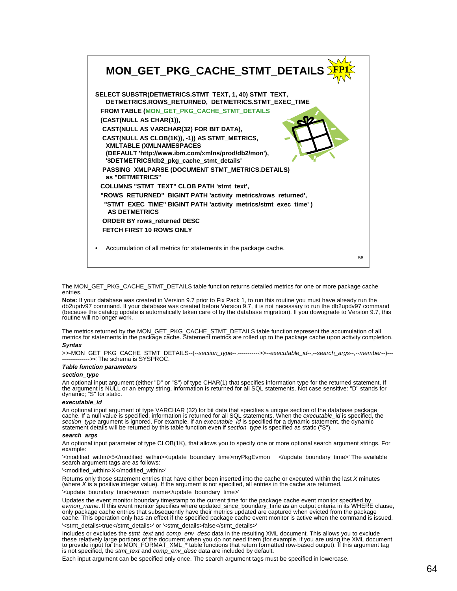

The MON\_GET\_PKG\_CACHE\_STMT\_DETAILS table function returns detailed metrics for one or more package cache entries.

**Note:** If your database was created in Version 9.7 prior to Fix Pack 1, to run this routine you must have already run the<br>db2updv97 command. If your database was created before Version 9.7, it is not necessary to run the routine will no longer work.

The metrics returned by the MON\_GET\_PKG\_CACHE\_STMT\_DETAILS table function represent the accumulation of all<br>metrics for statements in the package cache. Statement metrics are rolled up to the package cache upon activity co

#### *Syntax*

>>-MON\_GET\_PKG\_CACHE\_STMT\_DETAILS--(--*section\_type*--,----------->>--*executable\_id*--,--*search\_args*--,--*member*--)--- -------------->< The schema is SYSPROC.

### *Table function parameters*

#### *section\_type*

An optional input argument (either "D" or "S") of type CHAR(1) that specifies information type for the returned statement. If<br>the argument is NULL or an empty string, information is returned for all SQL statements. Not cas

#### *executable\_id*

An optional input argument of type VARCHAR (32) for bit data that specifies a unique section of the database package cache. If a null value is specified, information is returned for all SQL statements. When the *executable\_id* is specified, the *section\_type* argument is ignored. For example, if an *executable\_id* is specified for a dynamic statement, the dynamic statement details will be returned by this table function even if *section\_type* is specified as static ("S").

#### *search\_args*

An optional input parameter of type CLOB(1K), that allows you to specify one or more optional search argument strings. For example:

'<modified\_within>5</modified\_within><update\_boundary\_time>myPkgEvmon </update\_boundary\_time>' The available search argument tags are as follows:

'<modified\_within>X</modified\_within>'

Returns only those statement entries that have either been inserted into the cache or executed within the last *X* minutes (where *X* is a positive integer value). If the argument is not specified, all entries in the cache are returned.

'<update\_boundary\_time>evmon\_name</update\_boundary\_time>'

Updates the event monitor boundary timestamp to the current time for the package cache event monitor specified by *evmon\_name*. If this event monitor specifies where updated\_since\_boundary\_time as an output criteria in its WHERE clause, only package cache entries that subsequently have their metrics updated are captured when evicted from the package cache. This operation only has an effect if the specified package cache event monitor is active when the command is issued. '<stmt\_details>true</stmt\_details>' or '<stmt\_details>false</stmt\_details>'

Includes or excludes the s*tmt\_text* and *comp\_env\_desc* data in the resulting XML document. This allows you to exclude<br>these relatively large portions of the document when you do not need them (for example, if you are usi

Each input argument can be specified only once. The search argument tags must be specified in lowercase.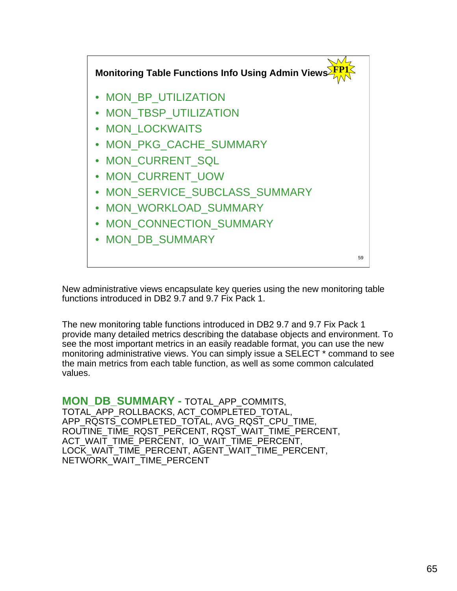

New administrative views encapsulate key queries using the new monitoring table functions introduced in DB2 9.7 and 9.7 Fix Pack 1.

The new monitoring table functions introduced in DB2 9.7 and 9.7 Fix Pack 1 provide many detailed metrics describing the database objects and environment. To see the most important metrics in an easily readable format, you can use the new monitoring administrative views. You can simply issue a SELECT \* command to see the main metrics from each table function, as well as some common calculated values.

**MON\_DB\_SUMMARY -** TOTAL\_APP\_COMMITS, TOTAL\_APP\_ROLLBACKS, ACT\_COMPLETED\_TOTAL, APP\_RQSTS\_COMPLETED\_TOTAL, AVG\_RQST\_CPU\_TIME, ROUTINE\_TIME\_RQST\_PERCENT, RQST\_WAIT\_TIME\_PERCENT, ACT\_WAIT\_TIME\_PERCENT, IO\_WAIT\_TIME\_PERCENT, LOCK\_WAIT\_TIME\_PERCENT, AGENT\_WAIT\_TIME\_PERCENT, NETWORK\_WAIT\_TIME\_PERCENT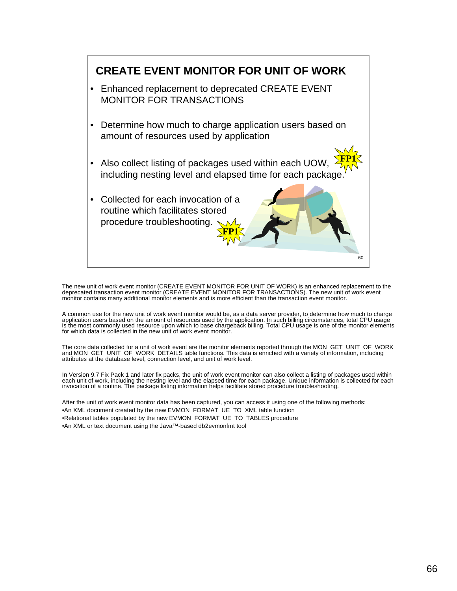

The new unit of work event monitor (CREATE EVENT MONITOR FOR UNIT OF WORK) is an enhanced replacement to the deprecated transaction event monitor (CREATE EVENT MONITOR FOR TRANSACTIONS). The new unit of work event monitor contains many additional monitor elements and is more efficient than the transaction event monitor.

A common use for the new unit of work event monitor would be, as a data server provider, to determine how much to charge application users based on the amount of resources used by the application. In such billing circumstances, total CPU usage<br>is the most commonly used resource upon which to base chargeback billing. Total CPU usage is one of

The core data collected for a unit of work event are the monitor elements reported through the MON\_GET\_UNIT\_OF\_WORK and MON\_GET\_UNIT\_OF\_WORK\_DETAILS table functions. This data is enriched with a variety of information, including<br>attributes at the database level, connection level, and unit of work level.

In Version 9.7 Fix Pack 1 and later fix packs, the unit of work event monitor can also collect a listing of packages used within<br>each unit of work, including the nesting level and the elapsed time for each package. Unique invocation of a routine. The package listing information helps facilitate stored procedure troubleshooting.

After the unit of work event monitor data has been captured, you can access it using one of the following methods: •An XML document created by the new EVMON\_FORMAT\_UE\_TO\_XML table function •Relational tables populated by the new EVMON\_FORMAT\_UE\_TO\_TABLES procedure •An XML or text document using the Java™-based db2evmonfmt tool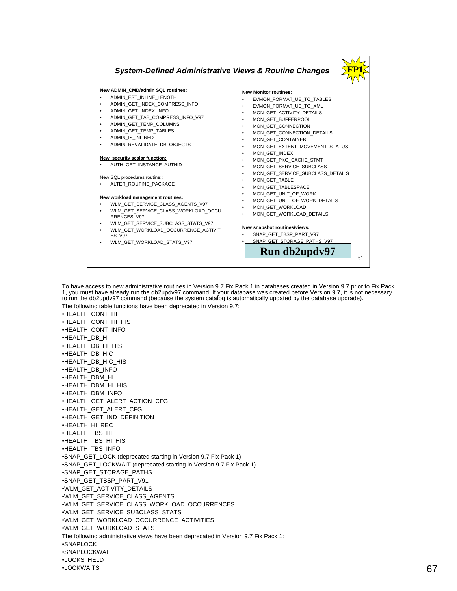# *System-Defined Administrative Views & Routine Changes*

#### **New ADMIN\_CMD/admin SQL routines:**

- ADMIN\_EST\_INLINE\_LENGTH
- ADMIN\_GET\_INDEX\_COMPRESS\_INFO
- ADMIN\_GET\_INDEX\_INFO
- ADMIN\_GET\_TAB\_COMPRESS\_INFO\_V97
- ADMIN\_GET\_TEMP\_COLUMNS
- ADMIN\_GET\_TEMP\_TABLES
- ADMIN\_IS\_INLINED
- ADMIN\_REVALIDATE\_DB\_OBJECTS

#### **New security scalar function:**

• AUTH\_GET\_INSTANCE\_AUTHID

New SQL procedures routine:: • ALTER\_ROUTINE\_PACKAGE

#### **New workload management routines:**

• WLM\_GET\_SERVICE\_CLASS\_AGENTS\_V97

- WLM\_GET\_SERVICE\_CLASS\_WORKLOAD\_OCCU RRENCES\_V97
- WLM\_GET\_SERVICE\_SUBCLASS\_STATS\_V97
- WLM\_GET\_WORKLOAD\_OCCURRENCE\_ACTIVITI ES\_V97
- WLM\_GET\_WORKLOAD\_STATS\_V97

#### **New Monitor routines:**

• EVMON\_FORMAT\_UE\_TO\_TABLES

**FP1**

61

- EVMON\_FORMAT\_UE\_TO\_XML
- MON\_GET\_ACTIVITY\_DETAILS
- MON\_GET\_BUFFERPOOL
- MON\_GET\_CONNECTION
- MON\_GET\_CONNECTION\_DETAILS
- MON\_GET\_CONTAINER
- MON\_GET\_EXTENT\_MOVEMENT\_STATUS
- MON\_GET\_INDEX
- MON\_GET\_PKG\_CACHE\_STMT
- MON\_GET\_SERVICE\_SUBCLASS
- MON\_GET\_SERVICE\_SUBCLASS\_DETAILS
- MON GET TABLE
- 
- MON\_GET\_TABLESPACE
- MON\_GET\_UNIT\_OF\_WORK
- MON\_GET\_UNIT\_OF\_WORK\_DETAILS
- MON\_GET\_WORKLOAD
- MON\_GET\_WORKLOAD\_DETAILS

#### **New snapshot routines/views:**

• SNAP\_GET\_TBSP\_PART\_V97 • SNAP\_GET\_STORAGE\_PATHS\_V97

**Run db2updv97**

To have access to new administrative routines in Version 9.7 Fix Pack 1 in databases created in Version 9.7 prior to Fix Pack 1, you must have already run the db2updv97 command. If your database was created before Version 9.7, it is not necessary to run the db2updv97 command (because the system catalog is automatically updated by the database upgrade). The following table functions have been deprecated in Version 9.7: •HEALTH\_CONT\_HI

•HEALTH\_CONT\_HI\_HIS •HEALTH\_CONT\_INFO •HEALTH\_DB\_HI •HEALTH\_DB\_HI\_HIS •HEALTH\_DB\_HIC •HEALTH\_DB\_HIC\_HIS •HEALTH\_DB\_INFO •HEALTH\_DBM\_HI •HEALTH\_DBM\_HI\_HIS •HEALTH\_DBM\_INFO •HEALTH\_GET\_ALERT\_ACTION\_CFG •HEALTH\_GET\_ALERT\_CFG •HEALTH\_GET\_IND\_DEFINITION •HEALTH\_HI\_REC •HEALTH\_TBS\_HI •HEALTH\_TBS\_HI\_HIS •HEALTH\_TBS\_INFO •SNAP\_GET\_LOCK (deprecated starting in Version 9.7 Fix Pack 1) •SNAP\_GET\_LOCKWAIT (deprecated starting in Version 9.7 Fix Pack 1) •SNAP\_GET\_STORAGE\_PATHS •SNAP\_GET\_TBSP\_PART\_V91 •WLM\_GET\_ACTIVITY\_DETAILS •WLM\_GET\_SERVICE\_CLASS\_AGENTS •WLM\_GET\_SERVICE\_CLASS\_WORKLOAD\_OCCURRENCES •WLM\_GET\_SERVICE\_SUBCLASS\_STATS •WLM\_GET\_WORKLOAD\_OCCURRENCE\_ACTIVITIES •WLM\_GET\_WORKLOAD\_STATS The following administrative views have been deprecated in Version 9.7 Fix Pack 1: •SNAPLOCK •SNAPLOCKWAIT •LOCKS\_HELD

<sup>•</sup>LOCKWAITS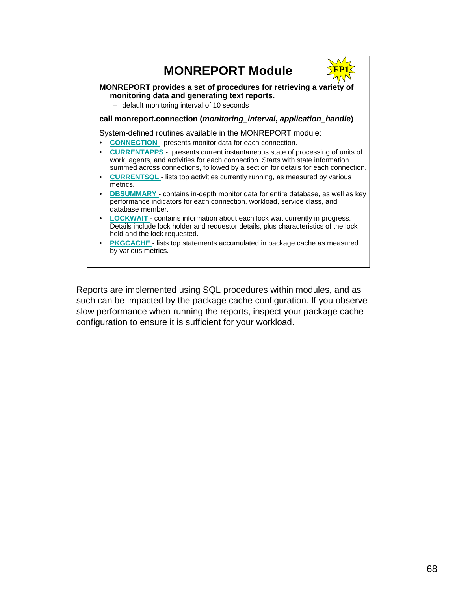

Reports are implemented using SQL procedures within modules, and as such can be impacted by the package cache configuration. If you observe slow performance when running the reports, inspect your package cache configuration to ensure it is sufficient for your workload.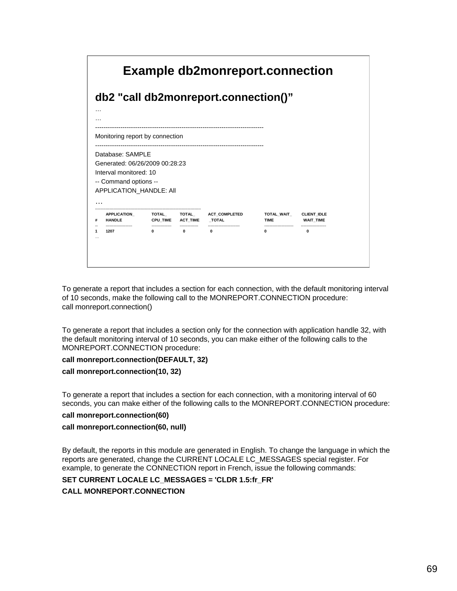

To generate a report that includes a section for each connection, with the default monitoring interval of 10 seconds, make the following call to the MONREPORT.CONNECTION procedure: call monreport.connection()

To generate a report that includes a section only for the connection with application handle 32, with the default monitoring interval of 10 seconds, you can make either of the following calls to the MONREPORT.CONNECTION procedure:

## **call monreport.connection(DEFAULT, 32)**

## **call monreport.connection(10, 32)**

To generate a report that includes a section for each connection, with a monitoring interval of 60 seconds, you can make either of the following calls to the MONREPORT.CONNECTION procedure:

## **call monreport.connection(60)**

# **call monreport.connection(60, null)**

By default, the reports in this module are generated in English. To change the language in which the reports are generated, change the CURRENT LOCALE LC\_MESSAGES special register. For example, to generate the CONNECTION report in French, issue the following commands:

# **SET CURRENT LOCALE LC\_MESSAGES = 'CLDR 1.5:fr\_FR'**

# **CALL MONREPORT.CONNECTION**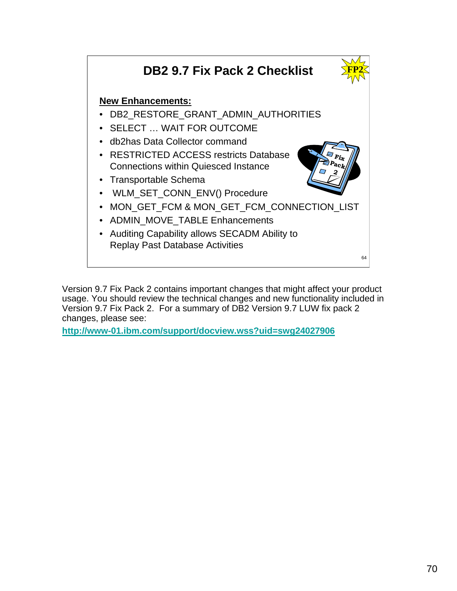

Version 9.7 Fix Pack 2 contains important changes that might affect your product usage. You should review the technical changes and new functionality included in Version 9.7 Fix Pack 2. For a summary of DB2 Version 9.7 LUW fix pack 2 changes, please see:

**http://www-01.ibm.com/support/docview.wss?uid=swg24027906**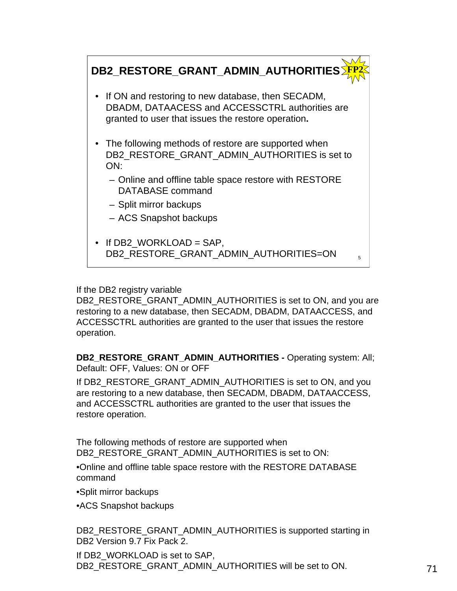

If the DB2 registry variable

DB2\_RESTORE\_GRANT\_ADMIN\_AUTHORITIES is set to ON, and you are restoring to a new database, then SECADM, DBADM, DATAACCESS, and ACCESSCTRL authorities are granted to the user that issues the restore operation.

**DB2\_RESTORE\_GRANT\_ADMIN\_AUTHORITIES -** Operating system: All; Default: OFF, Values: ON or OFF

If DB2\_RESTORE\_GRANT\_ADMIN\_AUTHORITIES is set to ON, and you are restoring to a new database, then SECADM, DBADM, DATAACCESS, and ACCESSCTRL authorities are granted to the user that issues the restore operation.

The following methods of restore are supported when DB2\_RESTORE\_GRANT\_ADMIN\_AUTHORITIES is set to ON:

•Online and offline table space restore with the RESTORE DATABASE command

•Split mirror backups

•ACS Snapshot backups

DB2\_RESTORE\_GRANT\_ADMIN\_AUTHORITIES is supported starting in DB2 Version 9.7 Fix Pack 2.

If DB2\_WORKLOAD is set to SAP, DB2\_RESTORE\_GRANT\_ADMIN\_AUTHORITIES will be set to ON.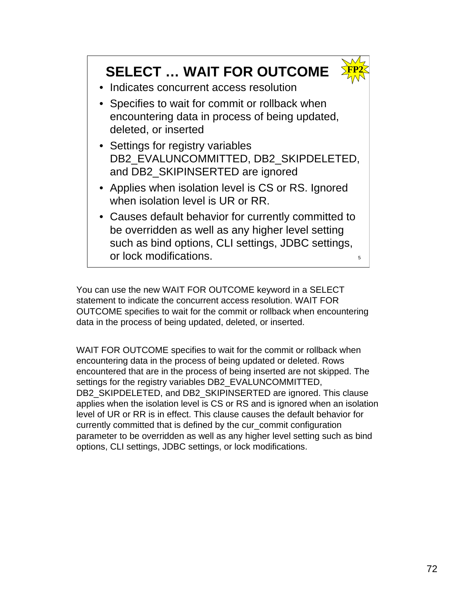# **SELECT … WAIT FOR OUTCOME**



- Indicates concurrent access resolution
- Specifies to wait for commit or rollback when encountering data in process of being updated, deleted, or inserted
- Settings for registry variables DB2\_EVALUNCOMMITTED, DB2\_SKIPDELETED, and DB2\_SKIPINSERTED are ignored
- Applies when isolation level is CS or RS. Ignored when isolation level is UR or RR.
- Causes default behavior for currently committed to be overridden as well as any higher level setting such as bind options, CLI settings, JDBC settings, or lock modifications.

You can use the new WAIT FOR OUTCOME keyword in a SELECT statement to indicate the concurrent access resolution. WAIT FOR OUTCOME specifies to wait for the commit or rollback when encountering data in the process of being updated, deleted, or inserted.

WAIT FOR OUTCOME specifies to wait for the commit or rollback when encountering data in the process of being updated or deleted. Rows encountered that are in the process of being inserted are not skipped. The settings for the registry variables DB2\_EVALUNCOMMITTED, DB2\_SKIPDELETED, and DB2\_SKIPINSERTED are ignored. This clause applies when the isolation level is CS or RS and is ignored when an isolation level of UR or RR is in effect. This clause causes the default behavior for currently committed that is defined by the cur\_commit configuration parameter to be overridden as well as any higher level setting such as bind options, CLI settings, JDBC settings, or lock modifications.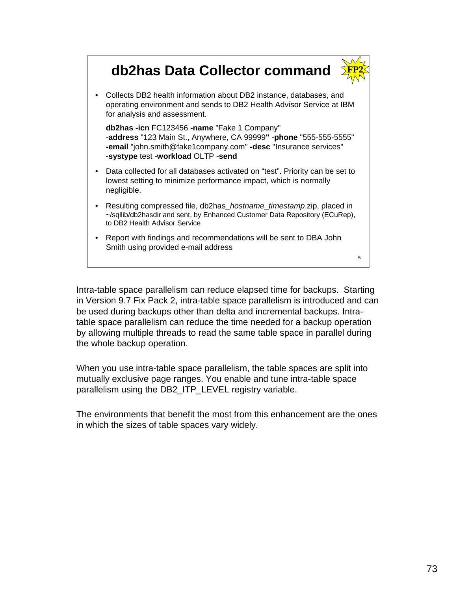# **db2has Data Collector command**



• Collects DB2 health information about DB2 instance, databases, and operating environment and sends to DB2 Health Advisor Service at IBM for analysis and assessment.

**db2has -icn** FC123456 **-name** "Fake 1 Company" **-address** "123 Main St., Anywhere, CA 99999**" -phone** "555-555-5555" **-email** "john.smith@fake1company.com" **-desc** "Insurance services" **-systype** test **-workload** OLTP **-send**

- Data collected for all databases activated on "test". Priority can be set to lowest setting to minimize performance impact, which is normally negligible.
- Resulting compressed file, db2has\_*hostname*\_*timestamp*.zip, placed in ~/sqllib/db2hasdir and sent, by Enhanced Customer Data Repository (ECuRep), to DB2 Health Advisor Service
- Report with findings and recommendations will be sent to DBA John Smith using provided e-mail address

5

Intra-table space parallelism can reduce elapsed time for backups. Starting in Version 9.7 Fix Pack 2, intra-table space parallelism is introduced and can be used during backups other than delta and incremental backups. Intratable space parallelism can reduce the time needed for a backup operation by allowing multiple threads to read the same table space in parallel during the whole backup operation.

When you use intra-table space parallelism, the table spaces are split into mutually exclusive page ranges. You enable and tune intra-table space parallelism using the DB2\_ITP\_LEVEL registry variable.

The environments that benefit the most from this enhancement are the ones in which the sizes of table spaces vary widely.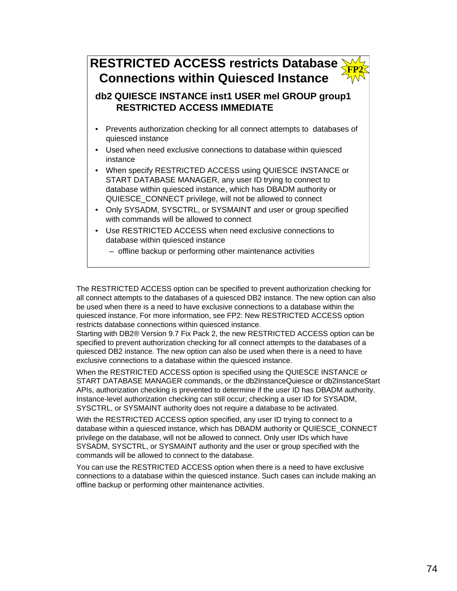# **RESTRICTED ACCESS restricts Database Connections within Quiesced Instance FP2**

**db2 QUIESCE INSTANCE inst1 USER mel GROUP group1 RESTRICTED ACCESS IMMEDIATE**

- Prevents authorization checking for all connect attempts to databases of quiesced instance
- Used when need exclusive connections to database within quiesced instance
- When specify RESTRICTED ACCESS using QUIESCE INSTANCE or START DATABASE MANAGER, any user ID trying to connect to database within quiesced instance, which has DBADM authority or QUIESCE\_CONNECT privilege, will not be allowed to connect
- Only SYSADM, SYSCTRL, or SYSMAINT and user or group specified with commands will be allowed to connect
- Use RESTRICTED ACCESS when need exclusive connections to database within quiesced instance
	- offline backup or performing other maintenance activities

The RESTRICTED ACCESS option can be specified to prevent authorization checking for all connect attempts to the databases of a quiesced DB2 instance. The new option can also be used when there is a need to have exclusive connections to a database within the quiesced instance. For more information, see FP2: New RESTRICTED ACCESS option restricts database connections within quiesced instance.

Starting with DB2® Version 9.7 Fix Pack 2, the new RESTRICTED ACCESS option can be specified to prevent authorization checking for all connect attempts to the databases of a quiesced DB2 instance. The new option can also be used when there is a need to have exclusive connections to a database within the quiesced instance.

When the RESTRICTED ACCESS option is specified using the QUIESCE INSTANCE or START DATABASE MANAGER commands, or the db2InstanceQuiesce or db2InstanceStart APIs, authorization checking is prevented to determine if the user ID has DBADM authority. Instance-level authorization checking can still occur; checking a user ID for SYSADM, SYSCTRL, or SYSMAINT authority does not require a database to be activated.

With the RESTRICTED ACCESS option specified, any user ID trying to connect to a database within a quiesced instance, which has DBADM authority or QUIESCE\_CONNECT privilege on the database, will not be allowed to connect. Only user IDs which have SYSADM, SYSCTRL, or SYSMAINT authority and the user or group specified with the commands will be allowed to connect to the database.

You can use the RESTRICTED ACCESS option when there is a need to have exclusive connections to a database within the quiesced instance. Such cases can include making an offline backup or performing other maintenance activities.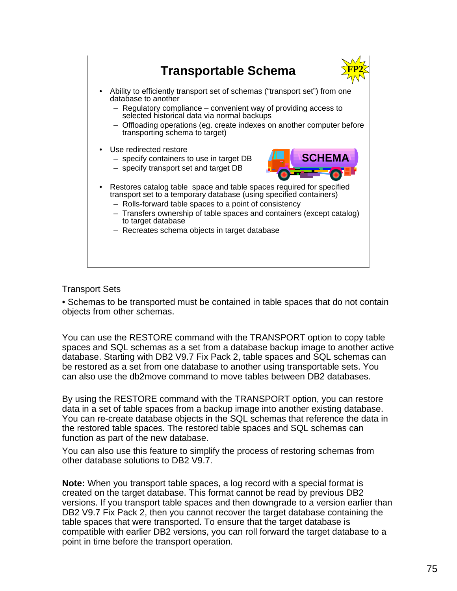

# Transport Sets

• Schemas to be transported must be contained in table spaces that do not contain objects from other schemas.

You can use the RESTORE command with the TRANSPORT option to copy table spaces and SQL schemas as a set from a database backup image to another active database. Starting with DB2 V9.7 Fix Pack 2, table spaces and SQL schemas can be restored as a set from one database to another using transportable sets. You can also use the db2move command to move tables between DB2 databases.

By using the RESTORE command with the TRANSPORT option, you can restore data in a set of table spaces from a backup image into another existing database. You can re-create database objects in the SQL schemas that reference the data in the restored table spaces. The restored table spaces and SQL schemas can function as part of the new database.

You can also use this feature to simplify the process of restoring schemas from other database solutions to DB2 V9.7.

**Note:** When you transport table spaces, a log record with a special format is created on the target database. This format cannot be read by previous DB2 versions. If you transport table spaces and then downgrade to a version earlier than DB2 V9.7 Fix Pack 2, then you cannot recover the target database containing the table spaces that were transported. To ensure that the target database is compatible with earlier DB2 versions, you can roll forward the target database to a point in time before the transport operation.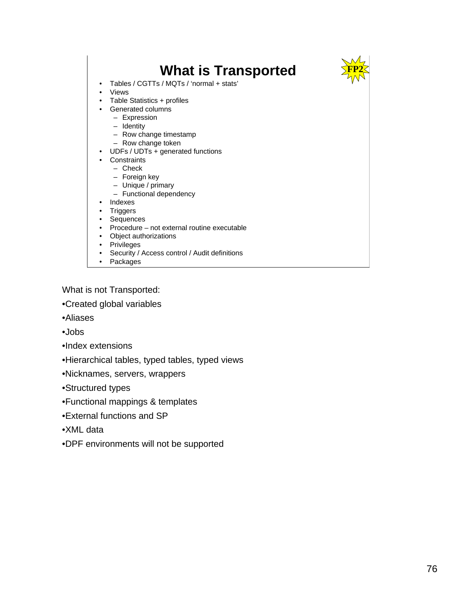

• Packages

What is not Transported:

•Created global variables

- •Aliases
- •Jobs
- •Index extensions
- •Hierarchical tables, typed tables, typed views
- •Nicknames, servers, wrappers
- •Structured types
- •Functional mappings & templates
- •External functions and SP
- •XML data
- •DPF environments will not be supported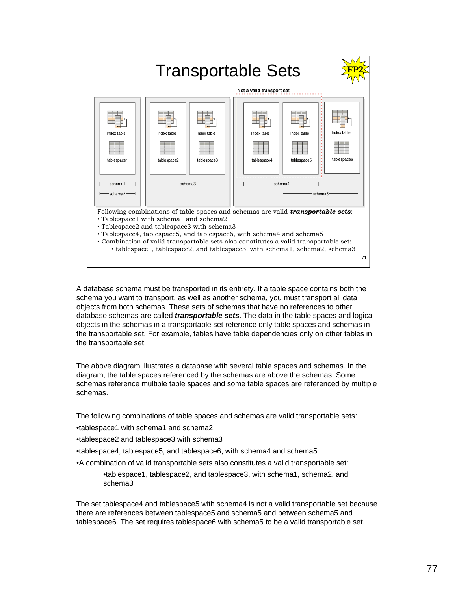

A database schema must be transported in its entirety. If a table space contains both the schema you want to transport, as well as another schema, you must transport all data objects from both schemas. These sets of schemas that have no references to other database schemas are called *transportable sets*. The data in the table spaces and logical objects in the schemas in a transportable set reference only table spaces and schemas in the transportable set. For example, tables have table dependencies only on other tables in the transportable set.

The above diagram illustrates a database with several table spaces and schemas. In the diagram, the table spaces referenced by the schemas are above the schemas. Some schemas reference multiple table spaces and some table spaces are referenced by multiple schemas.

The following combinations of table spaces and schemas are valid transportable sets:

•tablespace1 with schema1 and schema2

•tablespace2 and tablespace3 with schema3

•tablespace4, tablespace5, and tablespace6, with schema4 and schema5

•A combination of valid transportable sets also constitutes a valid transportable set:

•tablespace1, tablespace2, and tablespace3, with schema1, schema2, and schema3

The set tablespace4 and tablespace5 with schema4 is not a valid transportable set because there are references between tablespace5 and schema5 and between schema5 and tablespace6. The set requires tablespace6 with schema5 to be a valid transportable set.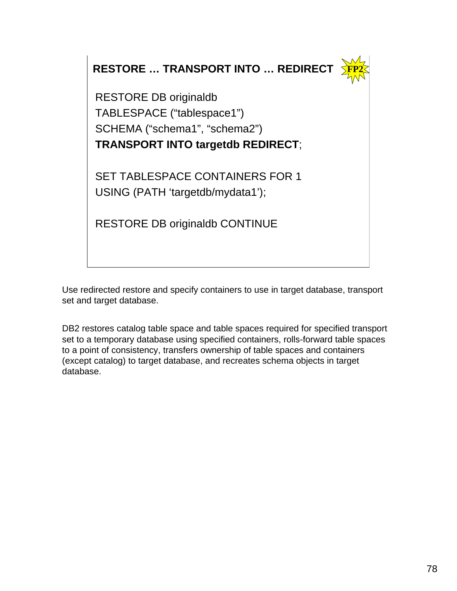**RESTORE … TRANSPORT INTO … REDIRECT**



RESTORE DB originaldb TABLESPACE ("tablespace1") SCHEMA ("schema1", "schema2") **TRANSPORT INTO targetdb REDIRECT**;

SET TABLESPACE CONTAINERS FOR 1 USING (PATH 'targetdb/mydata1');

RESTORE DB originaldb CONTINUE

Use redirected restore and specify containers to use in target database, transport set and target database.

DB2 restores catalog table space and table spaces required for specified transport set to a temporary database using specified containers, rolls-forward table spaces to a point of consistency, transfers ownership of table spaces and containers (except catalog) to target database, and recreates schema objects in target database.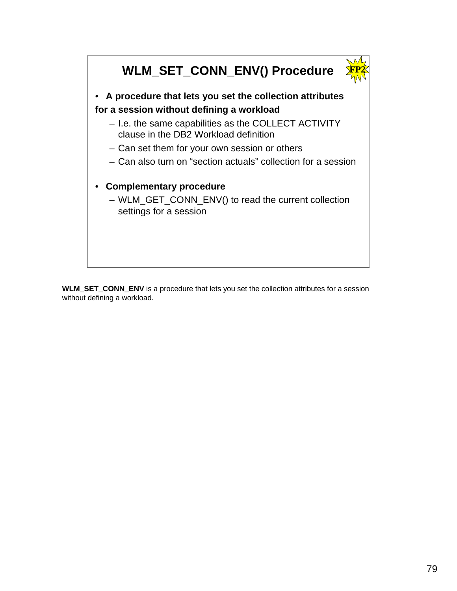

**WLM\_SET\_CONN\_ENV** is a procedure that lets you set the collection attributes for a session without defining a workload.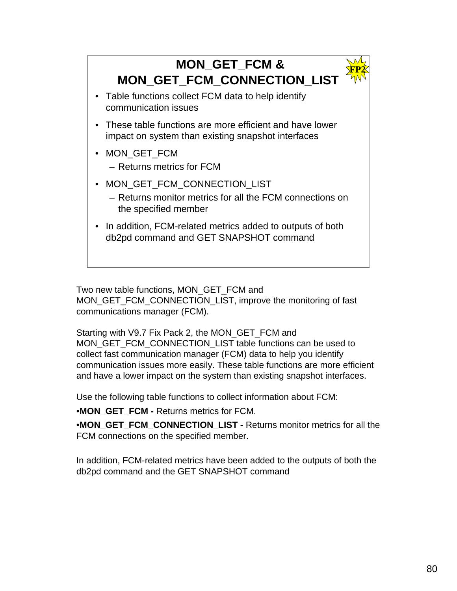

Two new table functions, MON\_GET\_FCM and MON\_GET\_FCM\_CONNECTION\_LIST, improve the monitoring of fast communications manager (FCM).

Starting with V9.7 Fix Pack 2, the MON\_GET\_FCM and MON\_GET\_FCM\_CONNECTION\_LIST table functions can be used to collect fast communication manager (FCM) data to help you identify communication issues more easily. These table functions are more efficient and have a lower impact on the system than existing snapshot interfaces.

Use the following table functions to collect information about FCM:

•**MON\_GET\_FCM -** Returns metrics for FCM.

•**MON\_GET\_FCM\_CONNECTION\_LIST -** Returns monitor metrics for all the FCM connections on the specified member.

In addition, FCM-related metrics have been added to the outputs of both the db2pd command and the GET SNAPSHOT command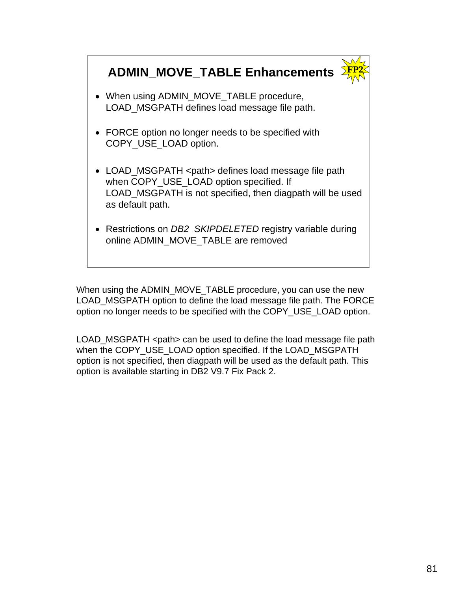# **ADMIN\_MOVE\_TABLE Enhancements**

**FP2**

- When using ADMIN\_MOVE\_TABLE procedure, LOAD MSGPATH defines load message file path.
- FORCE option no longer needs to be specified with COPY\_USE\_LOAD option.
- LOAD\_MSGPATH <path> defines load message file path when COPY USE LOAD option specified. If LOAD MSGPATH is not specified, then diagpath will be used as default path.
- Restrictions on *DB2\_SKIPDELETED* registry variable during online ADMIN\_MOVE\_TABLE are removed

When using the ADMIN\_MOVE\_TABLE procedure, you can use the new LOAD\_MSGPATH option to define the load message file path. The FORCE option no longer needs to be specified with the COPY\_USE\_LOAD option.

LOAD\_MSGPATH <path> can be used to define the load message file path when the COPY USE LOAD option specified. If the LOAD MSGPATH option is not specified, then diagpath will be used as the default path. This option is available starting in DB2 V9.7 Fix Pack 2.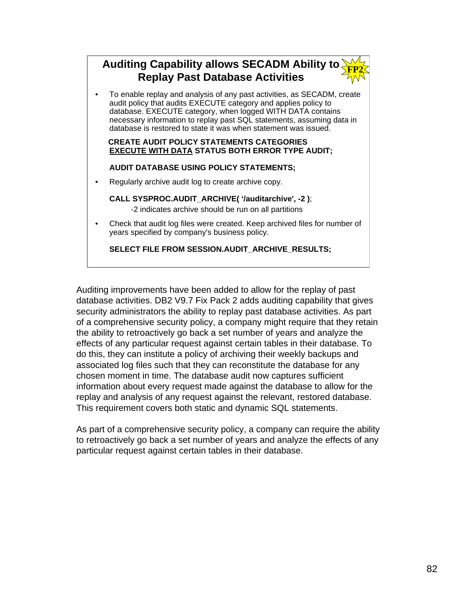### **Auditing Capability allows SECADM Ability to Replay Past Database Activities FP2**

• To enable replay and analysis of any past activities, as SECADM, create audit policy that audits EXECUTE category and applies policy to database. EXECUTE category, when logged WITH DATA contains necessary information to replay past SQL statements, assuming data in database is restored to state it was when statement was issued.

#### **CREATE AUDIT POLICY STATEMENTS CATEGORIES EXECUTE WITH DATA STATUS BOTH ERROR TYPE AUDIT;**

# **AUDIT DATABASE USING POLICY STATEMENTS;**

• Regularly archive audit log to create archive copy.

# **CALL SYSPROC.AUDIT\_ARCHIVE( '/auditarchive', -2 )**;

-2 indicates archive should be run on all partitions

• Check that audit log files were created. Keep archived files for number of years specified by company's business policy.

**SELECT FILE FROM SESSION.AUDIT\_ARCHIVE\_RESULTS;**

Auditing improvements have been added to allow for the replay of past database activities. DB2 V9.7 Fix Pack 2 adds auditing capability that gives security administrators the ability to replay past database activities. As part of a comprehensive security policy, a company might require that they retain the ability to retroactively go back a set number of years and analyze the effects of any particular request against certain tables in their database. To do this, they can institute a policy of archiving their weekly backups and associated log files such that they can reconstitute the database for any chosen moment in time. The database audit now captures sufficient information about every request made against the database to allow for the replay and analysis of any request against the relevant, restored database. This requirement covers both static and dynamic SQL statements.

As part of a comprehensive security policy, a company can require the ability to retroactively go back a set number of years and analyze the effects of any particular request against certain tables in their database.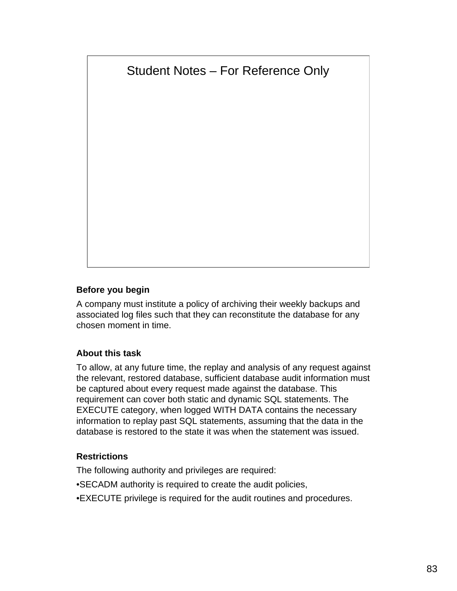# Student Notes – For Reference Only

# **Before you begin**

A company must institute a policy of archiving their weekly backups and associated log files such that they can reconstitute the database for any chosen moment in time.

# **About this task**

To allow, at any future time, the replay and analysis of any request against the relevant, restored database, sufficient database audit information must be captured about every request made against the database. This requirement can cover both static and dynamic SQL statements. The EXECUTE category, when logged WITH DATA contains the necessary information to replay past SQL statements, assuming that the data in the database is restored to the state it was when the statement was issued.

# **Restrictions**

The following authority and privileges are required:

- •SECADM authority is required to create the audit policies,
- •EXECUTE privilege is required for the audit routines and procedures.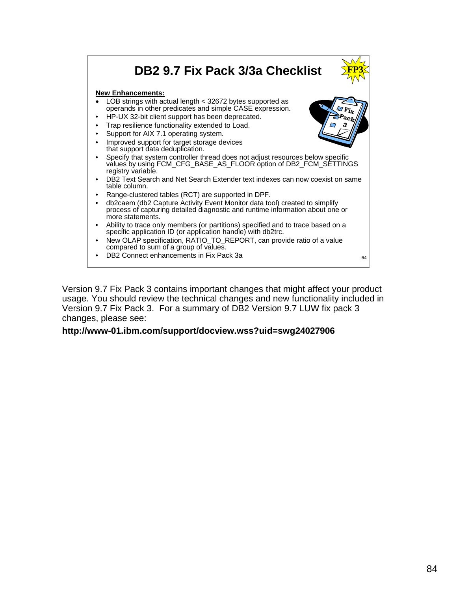#### **DB2 9.7 Fix Pack 3/3a Checklist New Enhancements:** • LOB strings with actual length < 32672 bytes supported as operands in other predicates and simple CASE expression. • HP-UX 32-bit client support has been deprecated. Trap resilience functionality extended to Load. Support for AIX 7.1 operating system. Improved support for target storage devices that support data deduplication. • Specify that system controller thread does not adjust resources below specific values by using FCM\_CFG\_BASE\_AS\_FLOOR option of DB2\_FCM\_SETTINGS registry variable. • DB2 Text Search and Net Search Extender text indexes can now coexist on same table column. • Range-clustered tables (RCT) are supported in DPF. • db2caem (db2 Capture Activity Event Monitor data tool) created to simplify process of capturing detailed diagnostic and runtime information about one or more statements. • Ability to trace only members (or partitions) specified and to trace based on a specific application ID (or application handle) with db2trc. • New OLAP specification, RATIO\_TO\_REPORT, can provide ratio of a value compared to sum of a group of values.  $\mathsf{DB2}$  Connect enhancements in Fix Pack 3a 64 **Fix Pack 3 FP3**

Version 9.7 Fix Pack 3 contains important changes that might affect your product usage. You should review the technical changes and new functionality included in Version 9.7 Fix Pack 3. For a summary of DB2 Version 9.7 LUW fix pack 3 changes, please see:

# **http://www-01.ibm.com/support/docview.wss?uid=swg24027906**

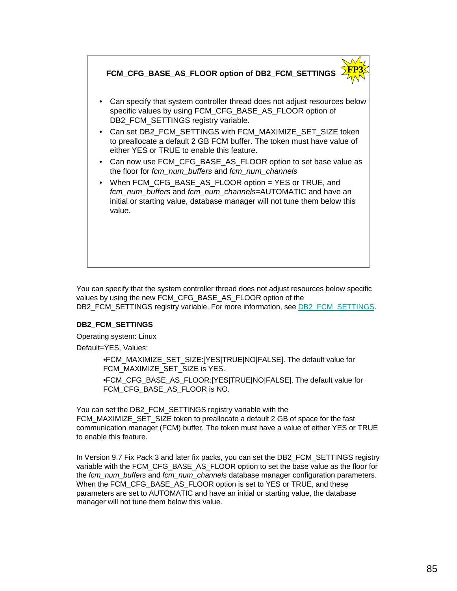

You can specify that the system controller thread does not adjust resources below specific values by using the new FCM\_CFG\_BASE\_AS\_FLOOR option of the DB2\_FCM\_SETTINGS registry variable. For more information, see DB2\_FCM\_SETTINGS.

### **DB2\_FCM\_SETTINGS**

Operating system: Linux

Default=YES, Values:

•FCM\_MAXIMIZE\_SET\_SIZE:[YES|TRUE|NO|FALSE]. The default value for FCM\_MAXIMIZE\_SET\_SIZE is YES.

•FCM\_CFG\_BASE\_AS\_FLOOR:[YES|TRUE|NO|FALSE]. The default value for FCM\_CFG\_BASE\_AS\_FLOOR is NO.

You can set the DB2\_FCM\_SETTINGS registry variable with the FCM\_MAXIMIZE\_SET\_SIZE token to preallocate a default 2 GB of space for the fast communication manager (FCM) buffer. The token must have a value of either YES or TRUE to enable this feature.

In Version 9.7 Fix Pack 3 and later fix packs, you can set the DB2\_FCM\_SETTINGS registry variable with the FCM\_CFG\_BASE\_AS\_FLOOR option to set the base value as the floor for the *fcm\_num\_buffers* and *fcm\_num\_channels* database manager configuration parameters. When the FCM\_CFG\_BASE\_AS\_FLOOR option is set to YES or TRUE, and these parameters are set to AUTOMATIC and have an initial or starting value, the database manager will not tune them below this value.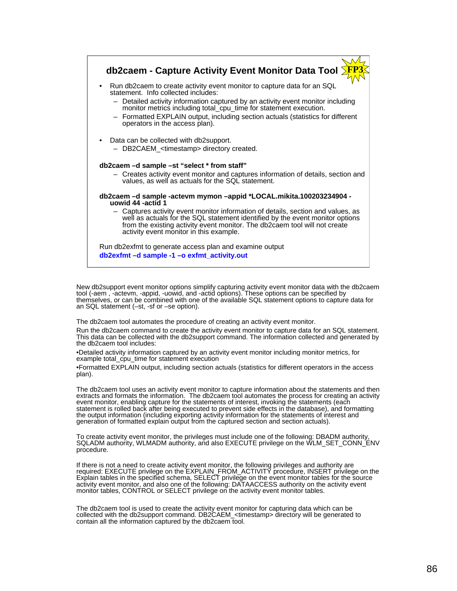

New db2support event monitor options simplify capturing activity event monitor data with the db2caem tool (-aem , -actevm, -appid, -uowid, and -actid options). These options can be specified by themselves, or can be combined with one of the available SQL statement options to capture data for an SQL statement (–st, -sf or –se option).

The db2caem tool automates the procedure of creating an activity event monitor.

Run the db2caem command to create the activity event monitor to capture data for an SQL statement. This data can be collected with the db2support command. The information collected and generated by the db2caem tool includes:

•Detailed activity information captured by an activity event monitor including monitor metrics, for example total\_cpu\_time for statement execution

•Formatted EXPLAIN output, including section actuals (statistics for different operators in the access plan).

The db2caem tool uses an activity event monitor to capture information about the statements and then extracts and formats the information. The db2caem tool automates the process for creating an activity event monitor, enabling capture for the statements of interest, invoking the statements (each statement is rolled back after being executed to prevent side effects in the database), and formatting the output information (including exporting activity information for the statements of interest and generation of formatted explain output from the captured section and section actuals).

To create activity event monitor, the privileges must include one of the following: DBADM authority, SQLADM authority, WLMADM authority, and also EXECUTE privilege on the WLM\_SET\_CONN\_ENV procedure.

If there is not a need to create activity event monitor, the following privileges and authority are<br>required: EXECUTE privilege on the EXPLAIN\_FROM\_ACTIVITY procedure, INSERT privilege on the Explain tables in the specified schema, SELECT privilege on the event monitor tables for the source activity event monitor, and also one of the following: DATAACCESS authority on the activity event monitor tables, CONTROL or SELECT privilege on the activity event monitor tables.

The db2caem tool is used to create the activity event monitor for capturing data which can be collected with the db2support command. DB2CAEM\_<timestamp> directory will be generated to contain all the information captured by the db2caem tool.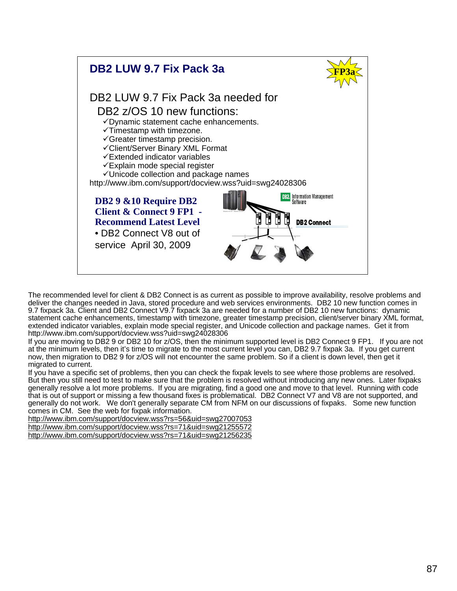

The recommended level for client & DB2 Connect is as current as possible to improve availability, resolve problems and deliver the changes needed in Java, stored procedure and web services environments. DB2 10 new function comes in 9.7 fixpack 3a. Client and DB2 Connect V9.7 fixpack 3a are needed for a number of DB2 10 new functions: dynamic statement cache enhancements, timestamp with timezone, greater timestamp precision, client/server binary XML format, extended indicator variables, explain mode special register, and Unicode collection and package names. Get it from http://www.ibm.com/support/docview.wss?uid=swg24028306

If you are moving to DB2 9 or DB2 10 for z/OS, then the minimum supported level is DB2 Connect 9 FP1. If you are not at the minimum levels, then it's time to migrate to the most current level you can, DB2 9.7 fixpak 3a. If you get current now, then migration to DB2 9 for z/OS will not encounter the same problem. So if a client is down level, then get it migrated to current.

If you have a specific set of problems, then you can check the fixpak levels to see where those problems are resolved. But then you still need to test to make sure that the problem is resolved without introducing any new ones. Later fixpaks generally resolve a lot more problems. If you are migrating, find a good one and move to that level. Running with code that is out of support or missing a few thousand fixes is problematical. DB2 Connect V7 and V8 are not supported, and generally do not work. We don't generally separate CM from NFM on our discussions of fixpaks. Some new function comes in CM. See the web for fixpak information.

http://www.ibm.com/support/docview.wss?rs=56&uid=swg27007053 http://www.ibm.com/support/docview.wss?rs=71&uid=swg21255572 http://www.ibm.com/support/docview.wss?rs=71&uid=swg21256235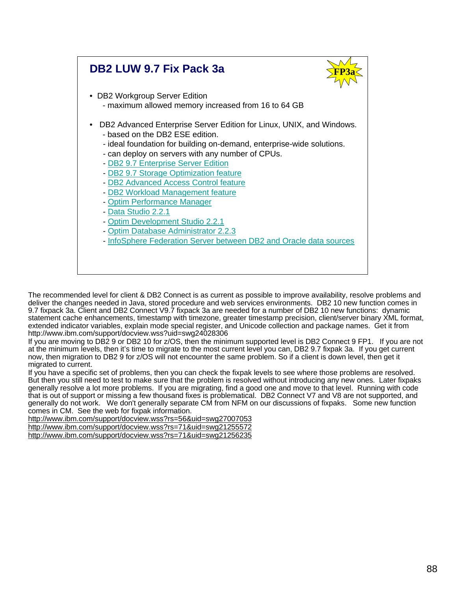# **DB2 LUW 9.7 Fix Pack 3a**



- DB2 Workgroup Server Edition - maximum allowed memory increased from 16 to 64 GB
- DB2 Advanced Enterprise Server Edition for Linux, UNIX, and Windows. - based on the DB2 ESE edition.
	- ideal foundation for building on-demand, enterprise-wide solutions.
	- can deploy on servers with any number of CPUs.
	- DB2 9.7 Enterprise Server Edition
	- DB2 9.7 Storage Optimization feature
	- DB2 Advanced Access Control feature
	- DB2 Workload Management feature
	- Optim Performance Manager
	- Data Studio 2.2.1
	- Optim Development Studio 2.2.1
	- Optim Database Administrator 2.2.3
	- InfoSphere Federation Server between DB2 and Oracle data sources

The recommended level for client & DB2 Connect is as current as possible to improve availability, resolve problems and deliver the changes needed in Java, stored procedure and web services environments. DB2 10 new function comes in 9.7 fixpack 3a. Client and DB2 Connect V9.7 fixpack 3a are needed for a number of DB2 10 new functions: dynamic statement cache enhancements, timestamp with timezone, greater timestamp precision, client/server binary XML format, extended indicator variables, explain mode special register, and Unicode collection and package names. Get it from http://www.ibm.com/support/docview.wss?uid=swg24028306

If you are moving to DB2 9 or DB2 10 for z/OS, then the minimum supported level is DB2 Connect 9 FP1. If you are not at the minimum levels, then it's time to migrate to the most current level you can, DB2 9.7 fixpak 3a. If you get current now, then migration to DB2 9 for z/OS will not encounter the same problem. So if a client is down level, then get it migrated to current.

If you have a specific set of problems, then you can check the fixpak levels to see where those problems are resolved. But then you still need to test to make sure that the problem is resolved without introducing any new ones. Later fixpaks generally resolve a lot more problems. If you are migrating, find a good one and move to that level. Running with code that is out of support or missing a few thousand fixes is problematical. DB2 Connect V7 and V8 are not supported, and generally do not work. We don't generally separate CM from NFM on our discussions of fixpaks. Some new function comes in CM. See the web for fixpak information.

http://www.ibm.com/support/docview.wss?rs=56&uid=swg27007053 http://www.ibm.com/support/docview.wss?rs=71&uid=swg21255572 http://www.ibm.com/support/docview.wss?rs=71&uid=swg21256235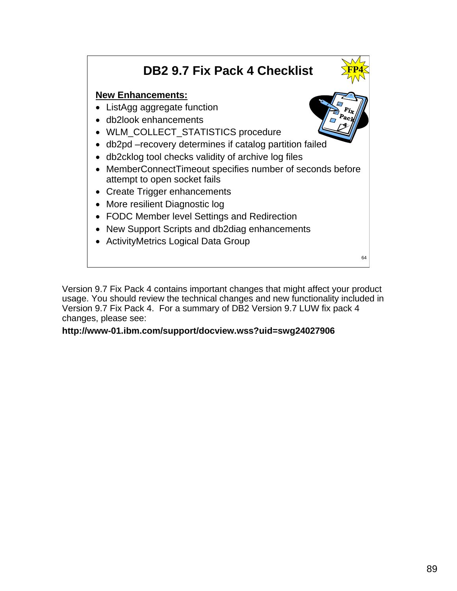# **DB2 9.7 Fix Pack 4 Checklist**

# **New Enhancements:**

- ListAgg aggregate function
- db2look enhancements
- WLM\_COLLECT\_STATISTICS procedure
- db2pd –recovery determines if catalog partition failed
- db2cklog tool checks validity of archive log files
- MemberConnectTimeout specifies number of seconds before attempt to open socket fails
- Create Trigger enhancements
- More resilient Diagnostic log
- FODC Member level Settings and Redirection
- New Support Scripts and db2diag enhancements
- ActivityMetrics Logical Data Group

Version 9.7 Fix Pack 4 contains important changes that might affect your product usage. You should review the technical changes and new functionality included in Version 9.7 Fix Pack 4. For a summary of DB2 Version 9.7 LUW fix pack 4 changes, please see:

# **http://www-01.ibm.com/support/docview.wss?uid=swg24027906**



**FP4**

64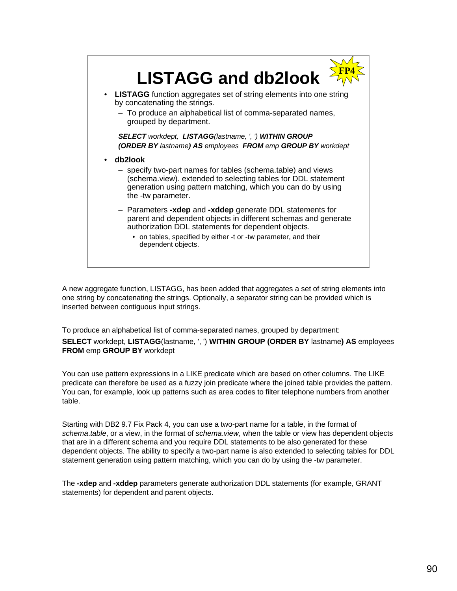

A new aggregate function, LISTAGG, has been added that aggregates a set of string elements into one string by concatenating the strings. Optionally, a separator string can be provided which is inserted between contiguous input strings.

To produce an alphabetical list of comma-separated names, grouped by department:

**SELECT** workdept, **LISTAGG**(lastname, ', ') **WITHIN GROUP (ORDER BY** lastname**) AS** employees **FROM** emp **GROUP BY** workdept

You can use pattern expressions in a LIKE predicate which are based on other columns. The LIKE predicate can therefore be used as a fuzzy join predicate where the joined table provides the pattern. You can, for example, look up patterns such as area codes to filter telephone numbers from another table.

Starting with DB2 9.7 Fix Pack 4, you can use a two-part name for a table, in the format of *schema*.*table*, or a view, in the format of *schema*.*view*, when the table or view has dependent objects that are in a different schema and you require DDL statements to be also generated for these dependent objects. The ability to specify a two-part name is also extended to selecting tables for DDL statement generation using pattern matching, which you can do by using the -tw parameter.

The **-xdep** and **-xddep** parameters generate authorization DDL statements (for example, GRANT statements) for dependent and parent objects.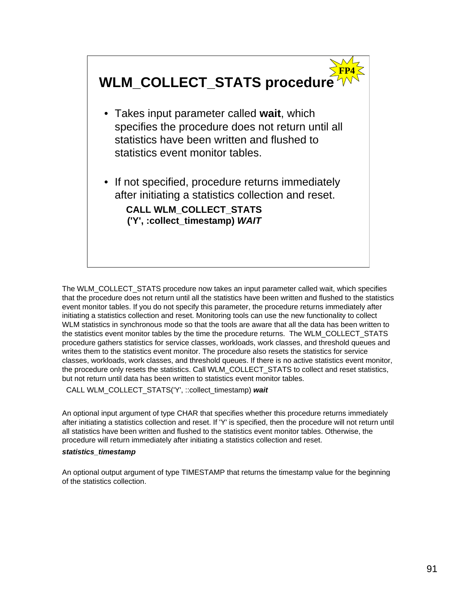

The WLM\_COLLECT\_STATS procedure now takes an input parameter called wait, which specifies that the procedure does not return until all the statistics have been written and flushed to the statistics event monitor tables. If you do not specify this parameter, the procedure returns immediately after initiating a statistics collection and reset. Monitoring tools can use the new functionality to collect WLM statistics in synchronous mode so that the tools are aware that all the data has been written to the statistics event monitor tables by the time the procedure returns. The WLM\_COLLECT\_STATS procedure gathers statistics for service classes, workloads, work classes, and threshold queues and writes them to the statistics event monitor. The procedure also resets the statistics for service classes, workloads, work classes, and threshold queues. If there is no active statistics event monitor, the procedure only resets the statistics. Call WLM\_COLLECT\_STATS to collect and reset statistics, but not return until data has been written to statistics event monitor tables.

CALL WLM\_COLLECT\_STATS('Y', ::collect\_timestamp) *wait*

An optional input argument of type CHAR that specifies whether this procedure returns immediately after initiating a statistics collection and reset. If 'Y' is specified, then the procedure will not return until all statistics have been written and flushed to the statistics event monitor tables. Otherwise, the procedure will return immediately after initiating a statistics collection and reset.

#### *statistics\_timestamp*

An optional output argument of type TIMESTAMP that returns the timestamp value for the beginning of the statistics collection.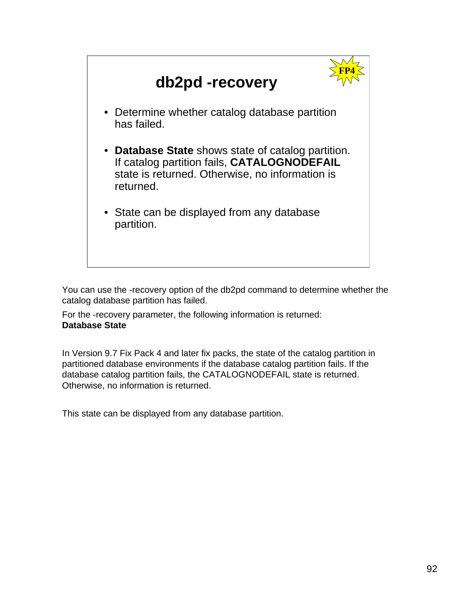

You can use the -recovery option of the db2pd command to determine whether the catalog database partition has failed.

For the -recovery parameter, the following information is returned: **Database State** 

In Version 9.7 Fix Pack 4 and later fix packs, the state of the catalog partition in partitioned database environments if the database catalog partition fails. If the database catalog partition fails, the CATALOGNODEFAIL state is returned. Otherwise, no information is returned.

This state can be displayed from any database partition.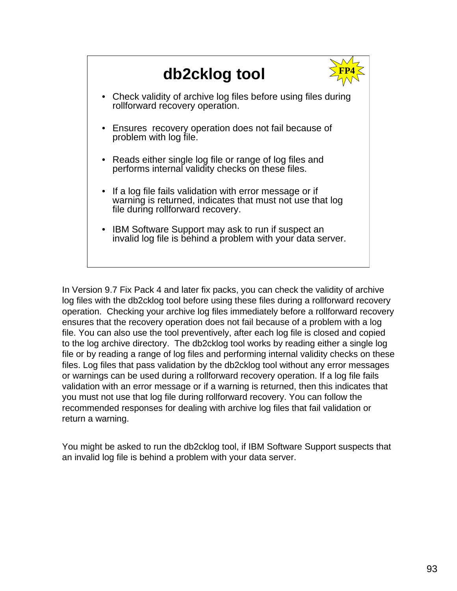

In Version 9.7 Fix Pack 4 and later fix packs, you can check the validity of archive log files with the db2cklog tool before using these files during a rollforward recovery operation. Checking your archive log files immediately before a rollforward recovery ensures that the recovery operation does not fail because of a problem with a log file. You can also use the tool preventively, after each log file is closed and copied to the log archive directory. The db2cklog tool works by reading either a single log file or by reading a range of log files and performing internal validity checks on these files. Log files that pass validation by the db2cklog tool without any error messages or warnings can be used during a rollforward recovery operation. If a log file fails validation with an error message or if a warning is returned, then this indicates that you must not use that log file during rollforward recovery. You can follow the recommended responses for dealing with archive log files that fail validation or return a warning.

You might be asked to run the db2cklog tool, if IBM Software Support suspects that an invalid log file is behind a problem with your data server.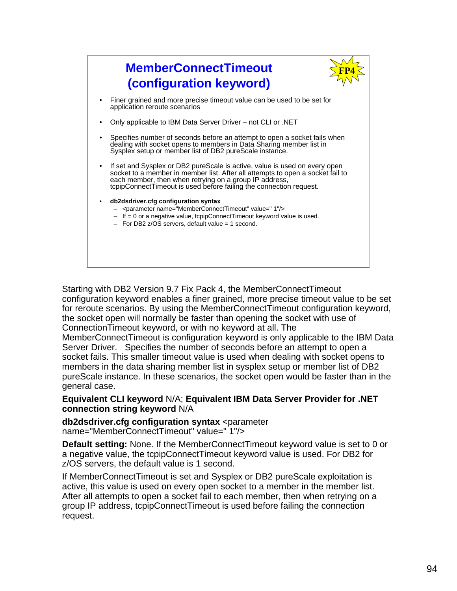

Starting with DB2 Version 9.7 Fix Pack 4, the MemberConnectTimeout configuration keyword enables a finer grained, more precise timeout value to be set for reroute scenarios. By using the MemberConnectTimeout configuration keyword, the socket open will normally be faster than opening the socket with use of ConnectionTimeout keyword, or with no keyword at all. The

MemberConnectTimeout is configuration keyword is only applicable to the IBM Data Server Driver. Specifies the number of seconds before an attempt to open a socket fails. This smaller timeout value is used when dealing with socket opens to members in the data sharing member list in sysplex setup or member list of DB2 pureScale instance. In these scenarios, the socket open would be faster than in the general case.

# **Equivalent CLI keyword** N/A; **Equivalent IBM Data Server Provider for .NET connection string keyword** N/A

**db2dsdriver.cfg configuration syntax** <parameter name="MemberConnectTimeout" value=" 1"/>

**Default setting:** None. If the MemberConnectTimeout keyword value is set to 0 or a negative value, the tcpipConnectTimeout keyword value is used. For DB2 for z/OS servers, the default value is 1 second.

If MemberConnectTimeout is set and Sysplex or DB2 pureScale exploitation is active, this value is used on every open socket to a member in the member list. After all attempts to open a socket fail to each member, then when retrying on a group IP address, tcpipConnectTimeout is used before failing the connection request.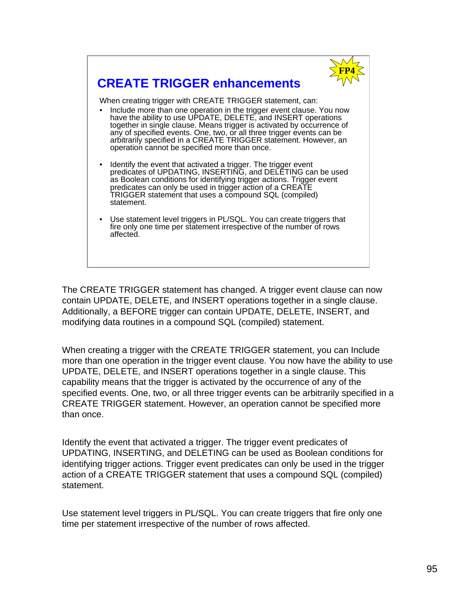

# **CREATE TRIGGER enhancements**

When creating trigger with CREATE TRIGGER statement, can:

- Include more than one operation in the trigger event clause. You now have the ability to use UPDATE, DELETE, and INSERT operations together in single clause. Means trigger is activated by occurrence of any of specified events. One, two, or all three trigger events can be arbitrarily specified in a CREATE TRIGGER statement. However, an operation cannot be specified more than once.
- Identify the event that activated a trigger. The trigger event predicates of UPDATING, INSERTING, and DELETING can be used as Boolean conditions for identifying trigger actions. Trigger event predicates can only be used in trigger action of a CREATE TRIGGER statement that uses a compound SQL (compiled) statement.
- Use statement level triggers in PL/SQL. You can create triggers that fire only one time per statement irrespective of the number of rows affected.

The CREATE TRIGGER statement has changed. A trigger event clause can now contain UPDATE, DELETE, and INSERT operations together in a single clause. Additionally, a BEFORE trigger can contain UPDATE, DELETE, INSERT, and modifying data routines in a compound SQL (compiled) statement.

When creating a trigger with the CREATE TRIGGER statement, you can Include more than one operation in the trigger event clause. You now have the ability to use UPDATE, DELETE, and INSERT operations together in a single clause. This capability means that the trigger is activated by the occurrence of any of the specified events. One, two, or all three trigger events can be arbitrarily specified in a CREATE TRIGGER statement. However, an operation cannot be specified more than once.

Identify the event that activated a trigger. The trigger event predicates of UPDATING, INSERTING, and DELETING can be used as Boolean conditions for identifying trigger actions. Trigger event predicates can only be used in the trigger action of a CREATE TRIGGER statement that uses a compound SQL (compiled) statement.

Use statement level triggers in PL/SQL. You can create triggers that fire only one time per statement irrespective of the number of rows affected.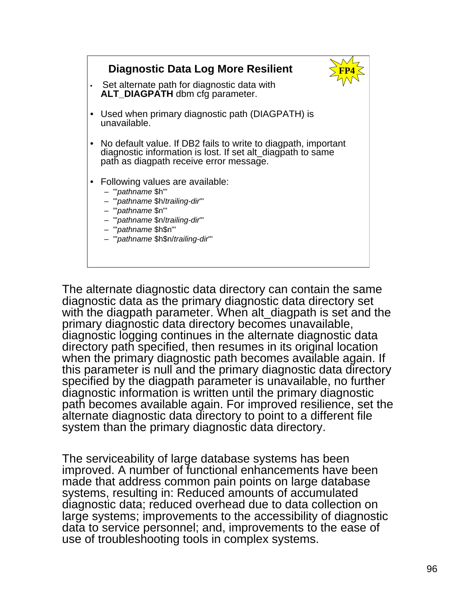# • Set alternate path for diagnostic data with **ALT\_DIAGPATH** dbm cfg parameter. • Used when primary diagnostic path (DIAGPATH) is unavailable. • No default value. If DB2 fails to write to diagpath, important diagnostic information is lost. If set alt\_diagpath to same path as diagpath receive error message. • Following values are available: – '"*pathname* \$h"' – '"*pathname* \$h/*trailing-dir*"' – '"*pathname* \$n"' – '"*pathname* \$n/*trailing-dir*"' – '"*pathname* \$h\$n"' – '"*pathname* \$h\$n/*trailing-dir*"' **Diagnostic Data Log More Resilient**

The alternate diagnostic data directory can contain the same diagnostic data as the primary diagnostic data directory set with the diagpath parameter. When alt diagpath is set and the primary diagnostic data directory becomes unavailable, diagnostic logging continues in the alternate diagnostic data directory path specified, then resumes in its original location when the primary diagnostic path becomes available again. If this parameter is null and the primary diagnostic data directory specified by the diagpath parameter is unavailable, no further diagnostic information is written until the primary diagnostic path becomes available again. For improved resilience, set the alternate diagnostic data directory to point to a different file system than the primary diagnostic data directory.

The serviceability of large database systems has been improved. A number of functional enhancements have been made that address common pain points on large database systems, resulting in: Reduced amounts of accumulated diagnostic data; reduced overhead due to data collection on large systems; improvements to the accessibility of diagnostic data to service personnel; and, improvements to the ease of use of troubleshooting tools in complex systems.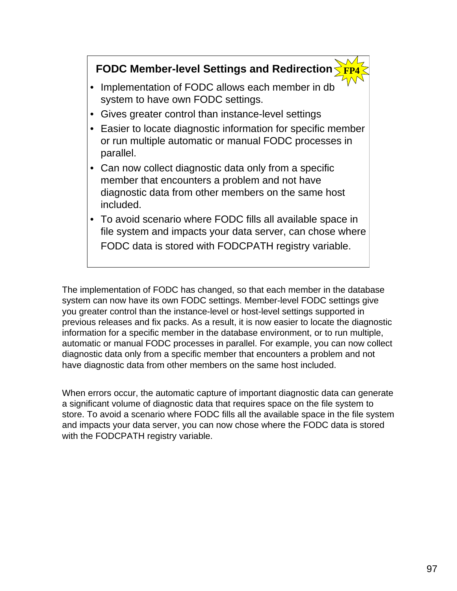# **FODC Member-level Settings and Redirection**

- Implementation of FODC allows each member in db system to have own FODC settings.
- Gives greater control than instance-level settings
- Easier to locate diagnostic information for specific member or run multiple automatic or manual FODC processes in parallel.
- Can now collect diagnostic data only from a specific member that encounters a problem and not have diagnostic data from other members on the same host included.
- To avoid scenario where FODC fills all available space in file system and impacts your data server, can chose where FODC data is stored with FODCPATH registry variable.

The implementation of FODC has changed, so that each member in the database system can now have its own FODC settings. Member-level FODC settings give you greater control than the instance-level or host-level settings supported in previous releases and fix packs. As a result, it is now easier to locate the diagnostic information for a specific member in the database environment, or to run multiple, automatic or manual FODC processes in parallel. For example, you can now collect diagnostic data only from a specific member that encounters a problem and not have diagnostic data from other members on the same host included.

When errors occur, the automatic capture of important diagnostic data can generate a significant volume of diagnostic data that requires space on the file system to store. To avoid a scenario where FODC fills all the available space in the file system and impacts your data server, you can now chose where the FODC data is stored with the FODCPATH registry variable.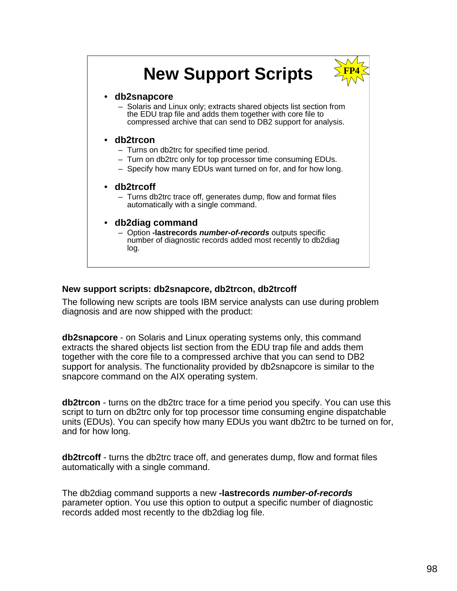# **New Support Scripts**



### • **db2snapcore**

– Solaris and Linux only; extracts shared objects list section from the EDU trap file and adds them together with core file to compressed archive that can send to DB2 support for analysis.

# • **db2trcon**

- Turns on db2trc for specified time period.
- Turn on db2trc only for top processor time consuming EDUs.
- Specify how many EDUs want turned on for, and for how long.

### • **db2trcoff**

– Turns db2trc trace off, generates dump, flow and format files automatically with a single command.

### • **db2diag command**

– Option **-lastrecords** *number-of-records* outputs specific number of diagnostic records added most recently to db2diag log.

# **New support scripts: db2snapcore, db2trcon, db2trcoff**

The following new scripts are tools IBM service analysts can use during problem diagnosis and are now shipped with the product:

**db2snapcore** - on Solaris and Linux operating systems only, this command extracts the shared objects list section from the EDU trap file and adds them together with the core file to a compressed archive that you can send to DB2 support for analysis. The functionality provided by db2snapcore is similar to the snapcore command on the AIX operating system.

**db2trcon** - turns on the db2trc trace for a time period you specify. You can use this script to turn on db2trc only for top processor time consuming engine dispatchable units (EDUs). You can specify how many EDUs you want db2trc to be turned on for, and for how long.

**db2trcoff** - turns the db2trc trace off, and generates dump, flow and format files automatically with a single command.

The db2diag command supports a new **-lastrecords** *number-of-records* parameter option. You use this option to output a specific number of diagnostic records added most recently to the db2diag log file.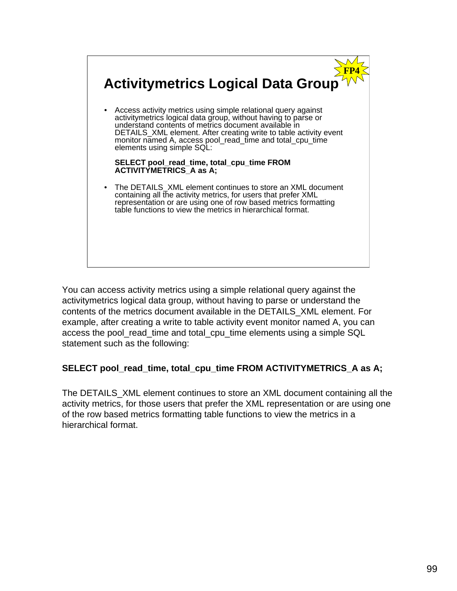

You can access activity metrics using a simple relational query against the activitymetrics logical data group, without having to parse or understand the contents of the metrics document available in the DETAILS\_XML element. For example, after creating a write to table activity event monitor named A, you can access the pool read time and total cpu time elements using a simple SQL statement such as the following:

# **SELECT pool\_read\_time, total\_cpu\_time FROM ACTIVITYMETRICS\_A as A;**

The DETAILS\_XML element continues to store an XML document containing all the activity metrics, for those users that prefer the XML representation or are using one of the row based metrics formatting table functions to view the metrics in a hierarchical format.